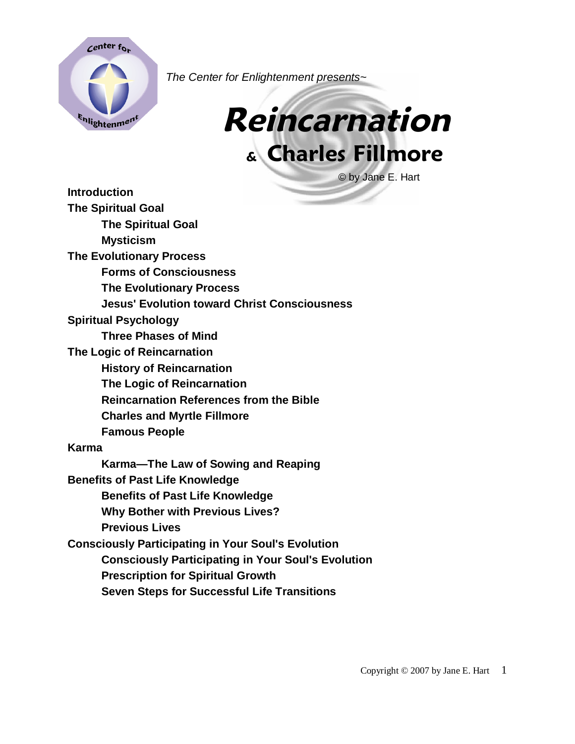

*The Center for Enlightenment presents~*



**Introduction**

**The Spiritual Goal The Spiritual Goal**

**Mysticism**

**The Evolutionary Process**

**Forms of Consciousness**

**The Evolutionary Process**

**Jesus' Evolution toward Christ Consciousness**

**Spiritual Psychology**

**Three Phases of Mind**

**The Logic of Reincarnation**

**History of Reincarnation**

**The Logic of Reincarnation**

**Reincarnation References from the Bible**

**Charles and Myrtle Fillmore**

**Famous People**

**Karma**

**Karma—The Law of Sowing and Reaping**

**Benefits of Past Life Knowledge**

**Benefits of Past Life Knowledge**

**Why Bother with Previous Lives?**

**Previous Lives**

**Consciously Participating in Your Soul's Evolution**

**Consciously Participating in Your Soul's Evolution**

**Prescription for Spiritual Growth**

**Seven Steps for Successful Life Transitions**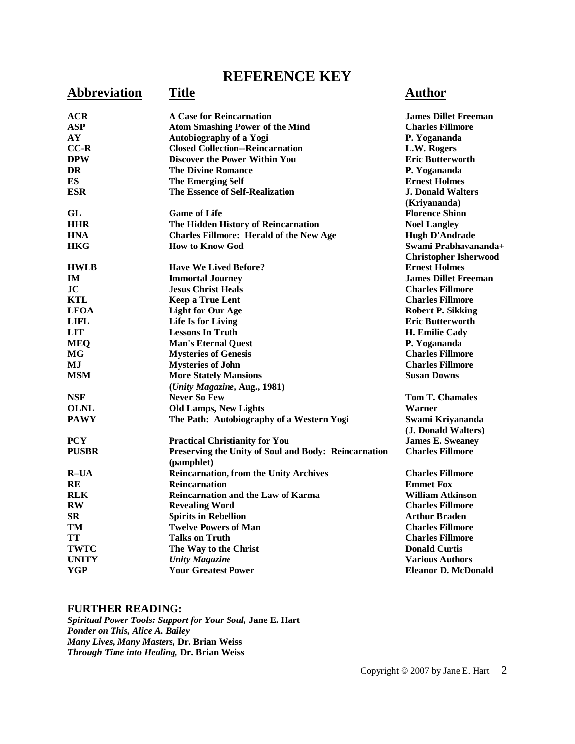#### **REFERENCE KEY**

| <b>Abbreviation</b> | Title                                                              | <b>Author</b>                |  |  |  |  |
|---------------------|--------------------------------------------------------------------|------------------------------|--|--|--|--|
| <b>ACR</b>          | <b>A Case for Reincarnation</b>                                    | <b>James Dillet Freeman</b>  |  |  |  |  |
| ASP                 | <b>Atom Smashing Power of the Mind</b>                             | <b>Charles Fillmore</b>      |  |  |  |  |
| AY                  | Autobiography of a Yogi                                            | P. Yogananda                 |  |  |  |  |
| $CC-R$              | <b>Closed Collection--Reincarnation</b>                            | L.W. Rogers                  |  |  |  |  |
| <b>DPW</b>          | <b>Discover the Power Within You</b>                               | <b>Eric Butterworth</b>      |  |  |  |  |
| <b>DR</b>           | <b>The Divine Romance</b>                                          | P. Yogananda                 |  |  |  |  |
| <b>ES</b>           | <b>The Emerging Self</b>                                           | <b>Ernest Holmes</b>         |  |  |  |  |
| <b>ESR</b>          | The Essence of Self-Realization                                    | <b>J. Donald Walters</b>     |  |  |  |  |
|                     |                                                                    | (Kriyananda)                 |  |  |  |  |
| GL                  | <b>Game of Life</b>                                                | <b>Florence Shinn</b>        |  |  |  |  |
| <b>HHR</b>          | The Hidden History of Reincarnation                                | <b>Noel Langley</b>          |  |  |  |  |
| <b>HNA</b>          | <b>Charles Fillmore: Herald of the New Age</b>                     | Hugh D'Andrade               |  |  |  |  |
| <b>HKG</b>          | <b>How to Know God</b>                                             |                              |  |  |  |  |
|                     |                                                                    | <b>Christopher Isherwood</b> |  |  |  |  |
| <b>HWLB</b>         | <b>Have We Lived Before?</b>                                       | <b>Ernest Holmes</b>         |  |  |  |  |
| IM                  | <b>Immortal Journey</b>                                            | <b>James Dillet Freeman</b>  |  |  |  |  |
| JC                  | <b>Jesus Christ Heals</b>                                          | <b>Charles Fillmore</b>      |  |  |  |  |
| <b>KTL</b>          | <b>Keep a True Lent</b>                                            | <b>Charles Fillmore</b>      |  |  |  |  |
| <b>LFOA</b>         | <b>Light for Our Age</b>                                           | <b>Robert P. Sikking</b>     |  |  |  |  |
| <b>LIFL</b>         | <b>Life Is for Living</b>                                          | <b>Eric Butterworth</b>      |  |  |  |  |
| <b>LIT</b>          | <b>Lessons In Truth</b>                                            | H. Emilie Cady               |  |  |  |  |
| <b>MEQ</b>          | <b>Man's Eternal Quest</b>                                         | P. Yogananda                 |  |  |  |  |
| <b>MG</b>           | <b>Mysteries of Genesis</b>                                        | <b>Charles Fillmore</b>      |  |  |  |  |
| MJ.                 | <b>Mysteries of John</b>                                           | <b>Charles Fillmore</b>      |  |  |  |  |
| <b>MSM</b>          | <b>More Stately Mansions</b>                                       | <b>Susan Downs</b>           |  |  |  |  |
|                     | (Unity Magazine, Aug., 1981)                                       |                              |  |  |  |  |
| <b>NSF</b>          | <b>Never So Few</b>                                                | <b>Tom T. Chamales</b>       |  |  |  |  |
| <b>OLNL</b>         | <b>Old Lamps, New Lights</b>                                       | Warner                       |  |  |  |  |
| <b>PAWY</b>         | The Path: Autobiography of a Western Yogi                          | Swami Kriyananda             |  |  |  |  |
|                     |                                                                    | (J. Donald Walters)          |  |  |  |  |
| <b>PCY</b>          | <b>Practical Christianity for You</b>                              | <b>James E. Sweaney</b>      |  |  |  |  |
| <b>PUSBR</b>        | Preserving the Unity of Soul and Body: Reincarnation<br>(pamphlet) | <b>Charles Fillmore</b>      |  |  |  |  |
| $R-UA$              | <b>Reincarnation, from the Unity Archives</b>                      | <b>Charles Fillmore</b>      |  |  |  |  |
| <b>RE</b>           | Reincarnation                                                      | <b>Emmet Fox</b>             |  |  |  |  |
| <b>RLK</b>          | <b>Reincarnation and the Law of Karma</b>                          | <b>William Atkinson</b>      |  |  |  |  |
| <b>RW</b>           | <b>Revealing Word</b>                                              | <b>Charles Fillmore</b>      |  |  |  |  |
| <b>SR</b>           | <b>Spirits in Rebellion</b>                                        | <b>Arthur Braden</b>         |  |  |  |  |
| TM                  | <b>Twelve Powers of Man</b>                                        | <b>Charles Fillmore</b>      |  |  |  |  |
| TT                  | <b>Talks on Truth</b>                                              | <b>Charles Fillmore</b>      |  |  |  |  |
| <b>TWTC</b>         | The Way to the Christ                                              | <b>Donald Curtis</b>         |  |  |  |  |
| <b>UNITY</b>        | <b>Unity Magazine</b>                                              | <b>Various Authors</b>       |  |  |  |  |
| <b>YGP</b>          | <b>Your Greatest Power</b>                                         | <b>Eleanor D. McDonald</b>   |  |  |  |  |

#### **FURTHER READING:**

*Spiritual Power Tools: Support for Your Soul,* **Jane E. Hart** *Ponder on This, Alice A. Bailey Many Lives, Many Masters,* **Dr. Brian Weiss** *Through Time into Healing,* **Dr. Brian Weiss**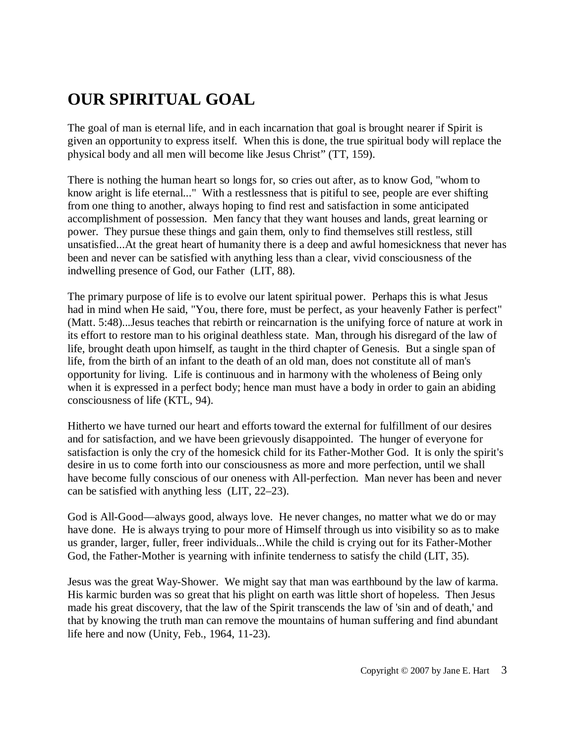# **OUR SPIRITUAL GOAL**

The goal of man is eternal life, and in each incarnation that goal is brought nearer if Spirit is given an opportunity to express itself. When this is done, the true spiritual body will replace the physical body and all men will become like Jesus Christ" (TT, 159).

There is nothing the human heart so longs for, so cries out after, as to know God, "whom to know aright is life eternal..." With a restlessness that is pitiful to see, people are ever shifting from one thing to another, always hoping to find rest and satisfaction in some anticipated accomplishment of possession. Men fancy that they want houses and lands, great learning or power. They pursue these things and gain them, only to find themselves still restless, still unsatisfied...At the great heart of humanity there is a deep and awful homesickness that never has been and never can be satisfied with anything less than a clear, vivid consciousness of the indwelling presence of God, our Father (LIT, 88).

The primary purpose of life is to evolve our latent spiritual power. Perhaps this is what Jesus had in mind when He said, "You, there fore, must be perfect, as your heavenly Father is perfect" (Matt. 5:48)...Jesus teaches that rebirth or reincarnation is the unifying force of nature at work in its effort to restore man to his original deathless state. Man, through his disregard of the law of life, brought death upon himself, as taught in the third chapter of Genesis. But a single span of life, from the birth of an infant to the death of an old man, does not constitute all of man's opportunity for living. Life is continuous and in harmony with the wholeness of Being only when it is expressed in a perfect body; hence man must have a body in order to gain an abiding consciousness of life (KTL, 94).

Hitherto we have turned our heart and efforts toward the external for fulfillment of our desires and for satisfaction, and we have been grievously disappointed. The hunger of everyone for satisfaction is only the cry of the homesick child for its Father-Mother God. It is only the spirit's desire in us to come forth into our consciousness as more and more perfection, until we shall have become fully conscious of our oneness with All-perfection. Man never has been and never can be satisfied with anything less (LIT, 22–23).

God is All-Good—always good, always love. He never changes, no matter what we do or may have done. He is always trying to pour more of Himself through us into visibility so as to make us grander, larger, fuller, freer individuals...While the child is crying out for its Father-Mother God, the Father-Mother is yearning with infinite tenderness to satisfy the child (LIT, 35).

Jesus was the great Way-Shower. We might say that man was earthbound by the law of karma. His karmic burden was so great that his plight on earth was little short of hopeless. Then Jesus made his great discovery, that the law of the Spirit transcends the law of 'sin and of death,' and that by knowing the truth man can remove the mountains of human suffering and find abundant life here and now (Unity, Feb., 1964, 11-23).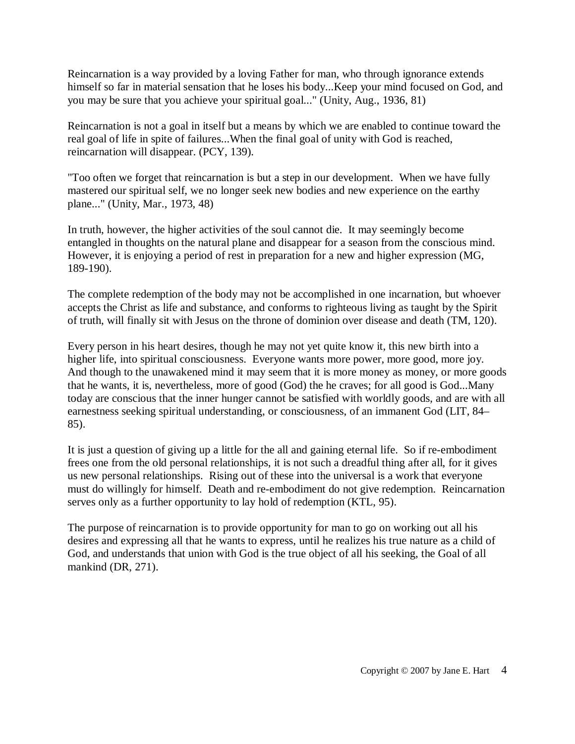Reincarnation is a way provided by a loving Father for man, who through ignorance extends himself so far in material sensation that he loses his body...Keep your mind focused on God, and you may be sure that you achieve your spiritual goal..." (Unity, Aug., 1936, 81)

Reincarnation is not a goal in itself but a means by which we are enabled to continue toward the real goal of life in spite of failures...When the final goal of unity with God is reached, reincarnation will disappear. (PCY, 139).

"Too often we forget that reincarnation is but a step in our development. When we have fully mastered our spiritual self, we no longer seek new bodies and new experience on the earthy plane..." (Unity, Mar., 1973, 48)

In truth, however, the higher activities of the soul cannot die. It may seemingly become entangled in thoughts on the natural plane and disappear for a season from the conscious mind. However, it is enjoying a period of rest in preparation for a new and higher expression (MG, 189-190).

The complete redemption of the body may not be accomplished in one incarnation, but whoever accepts the Christ as life and substance, and conforms to righteous living as taught by the Spirit of truth, will finally sit with Jesus on the throne of dominion over disease and death (TM, 120).

Every person in his heart desires, though he may not yet quite know it, this new birth into a higher life, into spiritual consciousness. Everyone wants more power, more good, more joy. And though to the unawakened mind it may seem that it is more money as money, or more goods that he wants, it is, nevertheless, more of good (God) the he craves; for all good is God...Many today are conscious that the inner hunger cannot be satisfied with worldly goods, and are with all earnestness seeking spiritual understanding, or consciousness, of an immanent God (LIT, 84– 85).

It is just a question of giving up a little for the all and gaining eternal life. So if re-embodiment frees one from the old personal relationships, it is not such a dreadful thing after all, for it gives us new personal relationships. Rising out of these into the universal is a work that everyone must do willingly for himself. Death and re-embodiment do not give redemption. Reincarnation serves only as a further opportunity to lay hold of redemption (KTL, 95).

The purpose of reincarnation is to provide opportunity for man to go on working out all his desires and expressing all that he wants to express, until he realizes his true nature as a child of God, and understands that union with God is the true object of all his seeking, the Goal of all mankind (DR, 271).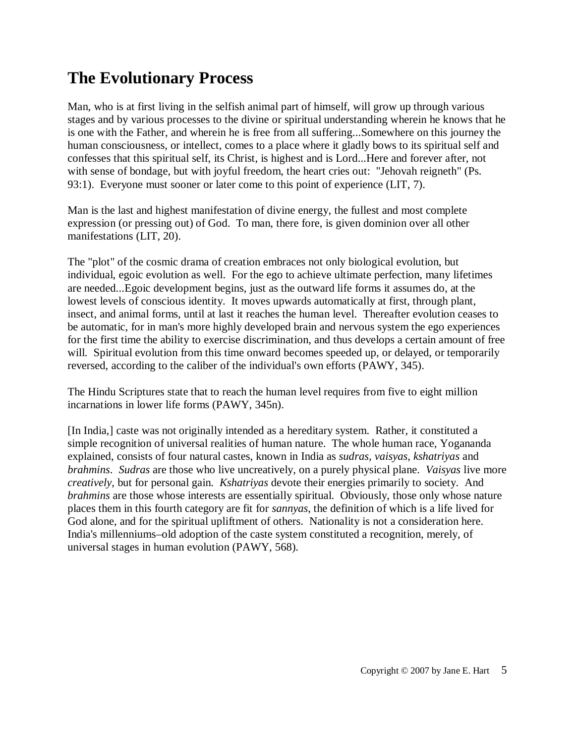### **The Evolutionary Process**

Man, who is at first living in the selfish animal part of himself, will grow up through various stages and by various processes to the divine or spiritual understanding wherein he knows that he is one with the Father, and wherein he is free from all suffering...Somewhere on this journey the human consciousness, or intellect, comes to a place where it gladly bows to its spiritual self and confesses that this spiritual self, its Christ, is highest and is Lord...Here and forever after, not with sense of bondage, but with joyful freedom, the heart cries out: "Jehovah reigneth" (Ps. 93:1). Everyone must sooner or later come to this point of experience (LIT, 7).

Man is the last and highest manifestation of divine energy, the fullest and most complete expression (or pressing out) of God. To man, there fore, is given dominion over all other manifestations (LIT, 20).

The "plot" of the cosmic drama of creation embraces not only biological evolution, but individual, egoic evolution as well. For the ego to achieve ultimate perfection, many lifetimes are needed...Egoic development begins, just as the outward life forms it assumes do, at the lowest levels of conscious identity. It moves upwards automatically at first, through plant, insect, and animal forms, until at last it reaches the human level. Thereafter evolution ceases to be automatic, for in man's more highly developed brain and nervous system the ego experiences for the first time the ability to exercise discrimination, and thus develops a certain amount of free will. Spiritual evolution from this time onward becomes speeded up, or delayed, or temporarily reversed, according to the caliber of the individual's own efforts (PAWY, 345).

The Hindu Scriptures state that to reach the human level requires from five to eight million incarnations in lower life forms (PAWY, 345n).

[In India,] caste was not originally intended as a hereditary system. Rather, it constituted a simple recognition of universal realities of human nature. The whole human race, Yogananda explained, consists of four natural castes, known in India as *sudras, vaisyas, kshatriyas* and *brahmins*. *Sudras* are those who live uncreatively, on a purely physical plane. *Vaisyas* live more *creatively*, but for personal gain. *Kshatriyas* devote their energies primarily to society. And *brahmins* are those whose interests are essentially spiritual. Obviously, those only whose nature places them in this fourth category are fit for *sannyas*, the definition of which is a life lived for God alone, and for the spiritual upliftment of others. Nationality is not a consideration here. India's millenniums–old adoption of the caste system constituted a recognition, merely, of universal stages in human evolution (PAWY, 568).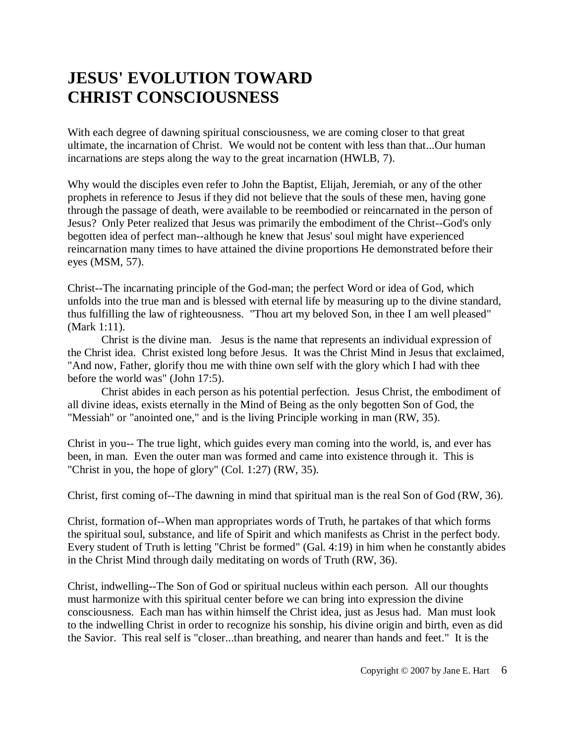### **JESUS' EVOLUTION TOWARD CHRIST CONSCIOUSNESS**

With each degree of dawning spiritual consciousness, we are coming closer to that great ultimate, the incarnation of Christ. We would not be content with less than that...Our human incarnations are steps along the way to the great incarnation (HWLB, 7).

Why would the disciples even refer to John the Baptist, Elijah, Jeremiah, or any of the other prophets in reference to Jesus if they did not believe that the souls of these men, having gone through the passage of death, were available to be reembodied or reincarnated in the person of Jesus? Only Peter realized that Jesus was primarily the embodiment of the Christ--God's only begotten idea of perfect man--although he knew that Jesus' soul might have experienced reincarnation many times to have attained the divine proportions He demonstrated before their eyes (MSM, 57).

Christ--The incarnating principle of the God-man; the perfect Word or idea of God, which unfolds into the true man and is blessed with eternal life by measuring up to the divine standard, thus fulfilling the law of righteousness. "Thou art my beloved Son, in thee I am well pleased" (Mark 1:11).

Christ is the divine man. Jesus is the name that represents an individual expression of the Christ idea. Christ existed long before Jesus. It was the Christ Mind in Jesus that exclaimed, "And now, Father, glorify thou me with thine own self with the glory which I had with thee before the world was" (John 17:5).

Christ abides in each person as his potential perfection. Jesus Christ, the embodiment of all divine ideas, exists eternally in the Mind of Being as the only begotten Son of God, the "Messiah" or "anointed one," and is the living Principle working in man (RW, 35).

Christ in you-- The true light, which guides every man coming into the world, is, and ever has been, in man. Even the outer man was formed and came into existence through it. This is "Christ in you, the hope of glory" (Col. 1:27) (RW, 35).

Christ, first coming of--The dawning in mind that spiritual man is the real Son of God (RW, 36).

Christ, formation of--When man appropriates words of Truth, he partakes of that which forms the spiritual soul, substance, and life of Spirit and which manifests as Christ in the perfect body. Every student of Truth is letting "Christ be formed" (Gal. 4:19) in him when he constantly abides in the Christ Mind through daily meditating on words of Truth (RW, 36).

Christ, indwelling--The Son of God or spiritual nucleus within each person. All our thoughts must harmonize with this spiritual center before we can bring into expression the divine consciousness. Each man has within himself the Christ idea, just as Jesus had. Man must look to the indwelling Christ in order to recognize his sonship, his divine origin and birth, even as did the Savior. This real self is "closer...than breathing, and nearer than hands and feet." It is the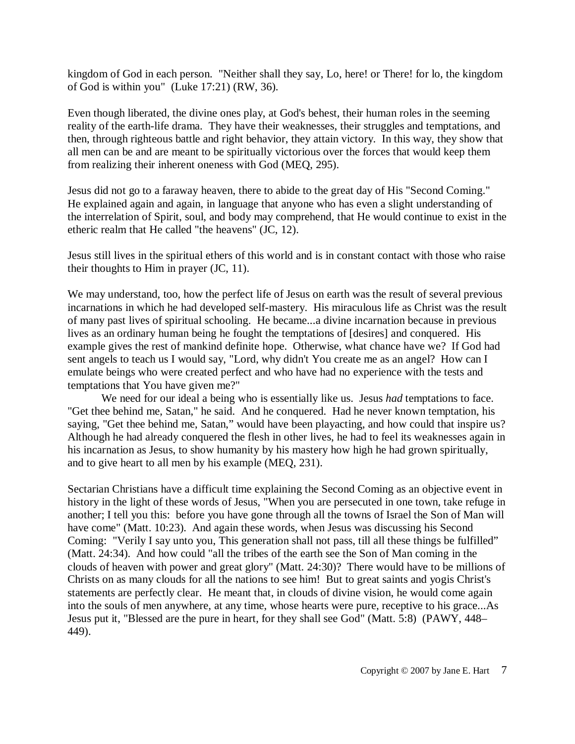kingdom of God in each person. "Neither shall they say, Lo, here! or There! for lo, the kingdom of God is within you" (Luke 17:21) (RW, 36).

Even though liberated, the divine ones play, at God's behest, their human roles in the seeming reality of the earth-life drama. They have their weaknesses, their struggles and temptations, and then, through righteous battle and right behavior, they attain victory. In this way, they show that all men can be and are meant to be spiritually victorious over the forces that would keep them from realizing their inherent oneness with God (MEQ, 295).

Jesus did not go to a faraway heaven, there to abide to the great day of His "Second Coming." He explained again and again, in language that anyone who has even a slight understanding of the interrelation of Spirit, soul, and body may comprehend, that He would continue to exist in the etheric realm that He called "the heavens" (JC, 12).

Jesus still lives in the spiritual ethers of this world and is in constant contact with those who raise their thoughts to Him in prayer (JC, 11).

We may understand, too, how the perfect life of Jesus on earth was the result of several previous incarnations in which he had developed self-mastery. His miraculous life as Christ was the result of many past lives of spiritual schooling. He became...a divine incarnation because in previous lives as an ordinary human being he fought the temptations of [desires] and conquered. His example gives the rest of mankind definite hope. Otherwise, what chance have we? If God had sent angels to teach us I would say, "Lord, why didn't You create me as an angel? How can I emulate beings who were created perfect and who have had no experience with the tests and temptations that You have given me?"

We need for our ideal a being who is essentially like us. Jesus *had* temptations to face. "Get thee behind me, Satan," he said. And he conquered. Had he never known temptation, his saying, "Get thee behind me, Satan," would have been playacting, and how could that inspire us? Although he had already conquered the flesh in other lives, he had to feel its weaknesses again in his incarnation as Jesus, to show humanity by his mastery how high he had grown spiritually, and to give heart to all men by his example (MEQ, 231).

Sectarian Christians have a difficult time explaining the Second Coming as an objective event in history in the light of these words of Jesus, "When you are persecuted in one town, take refuge in another; I tell you this: before you have gone through all the towns of Israel the Son of Man will have come" (Matt. 10:23). And again these words, when Jesus was discussing his Second Coming: "Verily I say unto you, This generation shall not pass, till all these things be fulfilled" (Matt. 24:34). And how could "all the tribes of the earth see the Son of Man coming in the clouds of heaven with power and great glory" (Matt. 24:30)? There would have to be millions of Christs on as many clouds for all the nations to see him! But to great saints and yogis Christ's statements are perfectly clear. He meant that, in clouds of divine vision, he would come again into the souls of men anywhere, at any time, whose hearts were pure, receptive to his grace...As Jesus put it, "Blessed are the pure in heart, for they shall see God" (Matt. 5:8) (PAWY, 448– 449).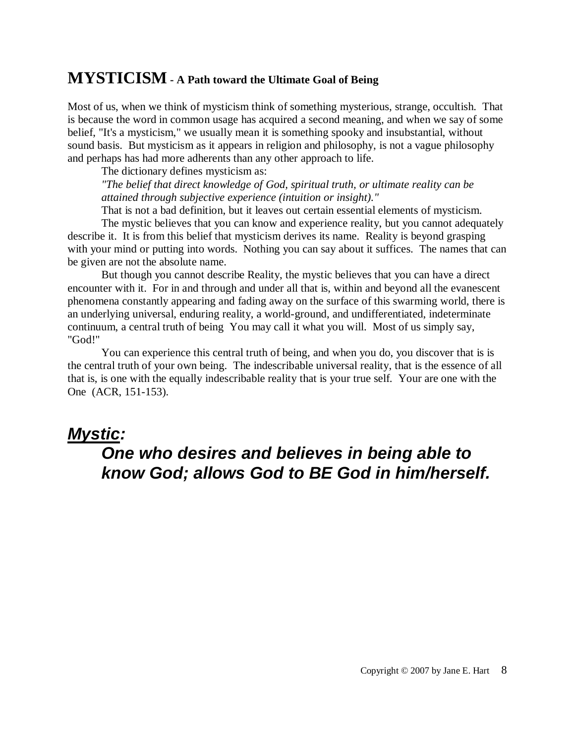#### **MYSTICISM - A Path toward the Ultimate Goal of Being**

Most of us, when we think of mysticism think of something mysterious, strange, occultish. That is because the word in common usage has acquired a second meaning, and when we say of some belief, "It's a mysticism," we usually mean it is something spooky and insubstantial, without sound basis. But mysticism as it appears in religion and philosophy, is not a vague philosophy and perhaps has had more adherents than any other approach to life.

The dictionary defines mysticism as:

*"The belief that direct knowledge of God, spiritual truth, or ultimate reality can be attained through subjective experience (intuition or insight)."*

That is not a bad definition, but it leaves out certain essential elements of mysticism.

The mystic believes that you can know and experience reality, but you cannot adequately describe it. It is from this belief that mysticism derives its name. Reality is beyond grasping with your mind or putting into words. Nothing you can say about it suffices. The names that can be given are not the absolute name.

But though you cannot describe Reality, the mystic believes that you can have a direct encounter with it. For in and through and under all that is, within and beyond all the evanescent phenomena constantly appearing and fading away on the surface of this swarming world, there is an underlying universal, enduring reality, a world-ground, and undifferentiated, indeterminate continuum, a central truth of being You may call it what you will. Most of us simply say, "God!"

You can experience this central truth of being, and when you do, you discover that is is the central truth of your own being. The indescribable universal reality, that is the essence of all that is, is one with the equally indescribable reality that is your true self. Your are one with the One (ACR, 151-153).

#### *Mystic:*

#### *One who desires and believes in being able to know God; allows God to BE God in him/herself.*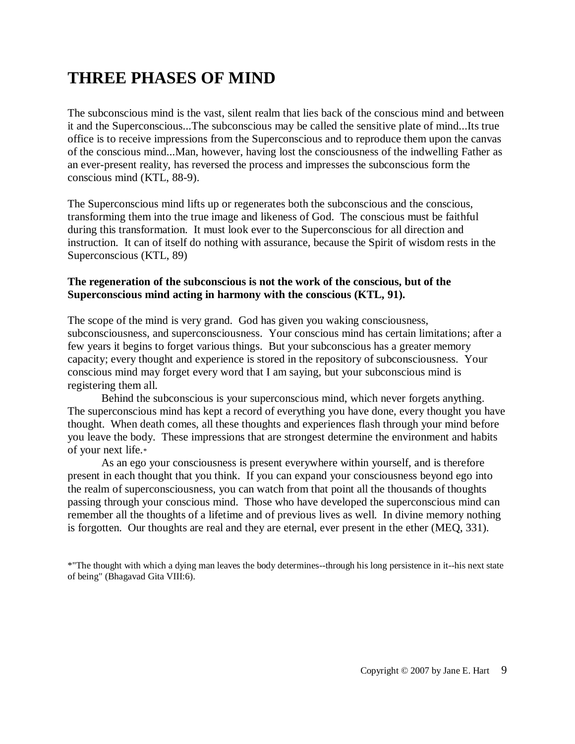### **THREE PHASES OF MIND**

The subconscious mind is the vast, silent realm that lies back of the conscious mind and between it and the Superconscious...The subconscious may be called the sensitive plate of mind...Its true office is to receive impressions from the Superconscious and to reproduce them upon the canvas of the conscious mind...Man, however, having lost the consciousness of the indwelling Father as an ever-present reality, has reversed the process and impresses the subconscious form the conscious mind (KTL, 88-9).

The Superconscious mind lifts up or regenerates both the subconscious and the conscious, transforming them into the true image and likeness of God. The conscious must be faithful during this transformation. It must look ever to the Superconscious for all direction and instruction. It can of itself do nothing with assurance, because the Spirit of wisdom rests in the Superconscious (KTL, 89)

#### **The regeneration of the subconscious is not the work of the conscious, but of the Superconscious mind acting in harmony with the conscious (KTL, 91).**

The scope of the mind is very grand. God has given you waking consciousness, subconsciousness, and superconsciousness. Your conscious mind has certain limitations; after a few years it begins to forget various things. But your subconscious has a greater memory capacity; every thought and experience is stored in the repository of subconsciousness. Your conscious mind may forget every word that I am saying, but your subconscious mind is registering them all.

Behind the subconscious is your superconscious mind, which never forgets anything. The superconscious mind has kept a record of everything you have done, every thought you have thought. When death comes, all these thoughts and experiences flash through your mind before you leave the body. These impressions that are strongest determine the environment and habits of your next life.\*

As an ego your consciousness is present everywhere within yourself, and is therefore present in each thought that you think. If you can expand your consciousness beyond ego into the realm of superconsciousness, you can watch from that point all the thousands of thoughts passing through your conscious mind. Those who have developed the superconscious mind can remember all the thoughts of a lifetime and of previous lives as well. In divine memory nothing is forgotten. Our thoughts are real and they are eternal, ever present in the ether (MEQ, 331).

\*"The thought with which a dying man leaves the body determines--through his long persistence in it--his next state of being" (Bhagavad Gita VIII:6).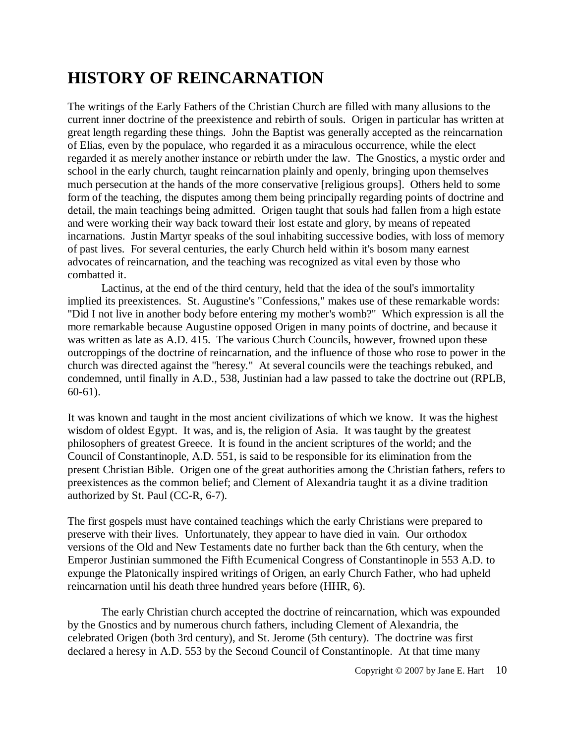### **HISTORY OF REINCARNATION**

The writings of the Early Fathers of the Christian Church are filled with many allusions to the current inner doctrine of the preexistence and rebirth of souls. Origen in particular has written at great length regarding these things. John the Baptist was generally accepted as the reincarnation of Elias, even by the populace, who regarded it as a miraculous occurrence, while the elect regarded it as merely another instance or rebirth under the law. The Gnostics, a mystic order and school in the early church, taught reincarnation plainly and openly, bringing upon themselves much persecution at the hands of the more conservative [religious groups]. Others held to some form of the teaching, the disputes among them being principally regarding points of doctrine and detail, the main teachings being admitted. Origen taught that souls had fallen from a high estate and were working their way back toward their lost estate and glory, by means of repeated incarnations. Justin Martyr speaks of the soul inhabiting successive bodies, with loss of memory of past lives. For several centuries, the early Church held within it's bosom many earnest advocates of reincarnation, and the teaching was recognized as vital even by those who combatted it.

Lactinus, at the end of the third century, held that the idea of the soul's immortality implied its preexistences. St. Augustine's "Confessions," makes use of these remarkable words: "Did I not live in another body before entering my mother's womb?" Which expression is all the more remarkable because Augustine opposed Origen in many points of doctrine, and because it was written as late as A.D. 415. The various Church Councils, however, frowned upon these outcroppings of the doctrine of reincarnation, and the influence of those who rose to power in the church was directed against the "heresy." At several councils were the teachings rebuked, and condemned, until finally in A.D., 538, Justinian had a law passed to take the doctrine out (RPLB, 60-61).

It was known and taught in the most ancient civilizations of which we know. It was the highest wisdom of oldest Egypt. It was, and is, the religion of Asia. It was taught by the greatest philosophers of greatest Greece. It is found in the ancient scriptures of the world; and the Council of Constantinople, A.D. 551, is said to be responsible for its elimination from the present Christian Bible. Origen one of the great authorities among the Christian fathers, refers to preexistences as the common belief; and Clement of Alexandria taught it as a divine tradition authorized by St. Paul (CC-R, 6-7).

The first gospels must have contained teachings which the early Christians were prepared to preserve with their lives. Unfortunately, they appear to have died in vain. Our orthodox versions of the Old and New Testaments date no further back than the 6th century, when the Emperor Justinian summoned the Fifth Ecumenical Congress of Constantinople in 553 A.D. to expunge the Platonically inspired writings of Origen, an early Church Father, who had upheld reincarnation until his death three hundred years before (HHR, 6).

The early Christian church accepted the doctrine of reincarnation, which was expounded by the Gnostics and by numerous church fathers, including Clement of Alexandria, the celebrated Origen (both 3rd century), and St. Jerome (5th century). The doctrine was first declared a heresy in A.D. 553 by the Second Council of Constantinople. At that time many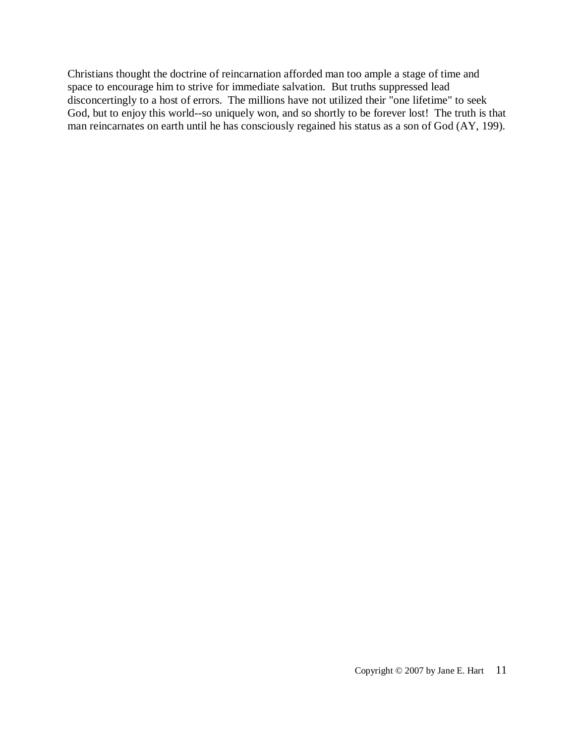Christians thought the doctrine of reincarnation afforded man too ample a stage of time and space to encourage him to strive for immediate salvation. But truths suppressed lead disconcertingly to a host of errors. The millions have not utilized their "one lifetime" to seek God, but to enjoy this world--so uniquely won, and so shortly to be forever lost! The truth is that man reincarnates on earth until he has consciously regained his status as a son of God (AY, 199).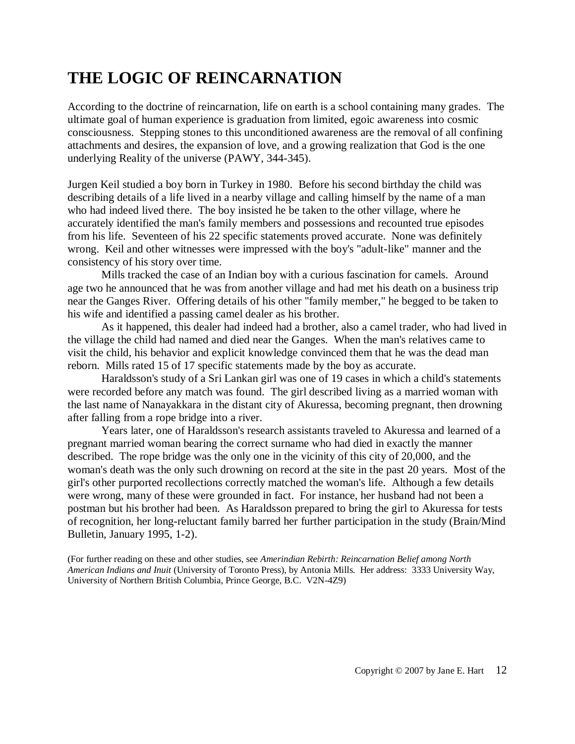### **THE LOGIC OF REINCARNATION**

According to the doctrine of reincarnation, life on earth is a school containing many grades. The ultimate goal of human experience is graduation from limited, egoic awareness into cosmic consciousness. Stepping stones to this unconditioned awareness are the removal of all confining attachments and desires, the expansion of love, and a growing realization that God is the one underlying Reality of the universe (PAWY, 344-345).

Jurgen Keil studied a boy born in Turkey in 1980. Before his second birthday the child was describing details of a life lived in a nearby village and calling himself by the name of a man who had indeed lived there. The boy insisted he be taken to the other village, where he accurately identified the man's family members and possessions and recounted true episodes from his life. Seventeen of his 22 specific statements proved accurate. None was definitely wrong. Keil and other witnesses were impressed with the boy's "adult-like" manner and the consistency of his story over time.

Mills tracked the case of an Indian boy with a curious fascination for camels. Around age two he announced that he was from another village and had met his death on a business trip near the Ganges River. Offering details of his other "family member," he begged to be taken to his wife and identified a passing camel dealer as his brother.

As it happened, this dealer had indeed had a brother, also a camel trader, who had lived in the village the child had named and died near the Ganges. When the man's relatives came to visit the child, his behavior and explicit knowledge convinced them that he was the dead man reborn. Mills rated 15 of 17 specific statements made by the boy as accurate.

Haraldsson's study of a Sri Lankan girl was one of 19 cases in which a child's statements were recorded before any match was found. The girl described living as a married woman with the last name of Nanayakkara in the distant city of Akuressa, becoming pregnant, then drowning after falling from a rope bridge into a river.

Years later, one of Haraldsson's research assistants traveled to Akuressa and learned of a pregnant married woman bearing the correct surname who had died in exactly the manner described. The rope bridge was the only one in the vicinity of this city of 20,000, and the woman's death was the only such drowning on record at the site in the past 20 years. Most of the girl's other purported recollections correctly matched the woman's life. Although a few details were wrong, many of these were grounded in fact. For instance, her husband had not been a postman but his brother had been. As Haraldsson prepared to bring the girl to Akuressa for tests of recognition, her long-reluctant family barred her further participation in the study (Brain/Mind Bulletin, January 1995, 1-2).

(For further reading on these and other studies, see *Amerindian Rebirth: Reincarnation Belief among North American Indians and Inuit* (University of Toronto Press), by Antonia Mills. Her address: 3333 University Way, University of Northern British Columbia, Prince George, B.C. V2N-4Z9)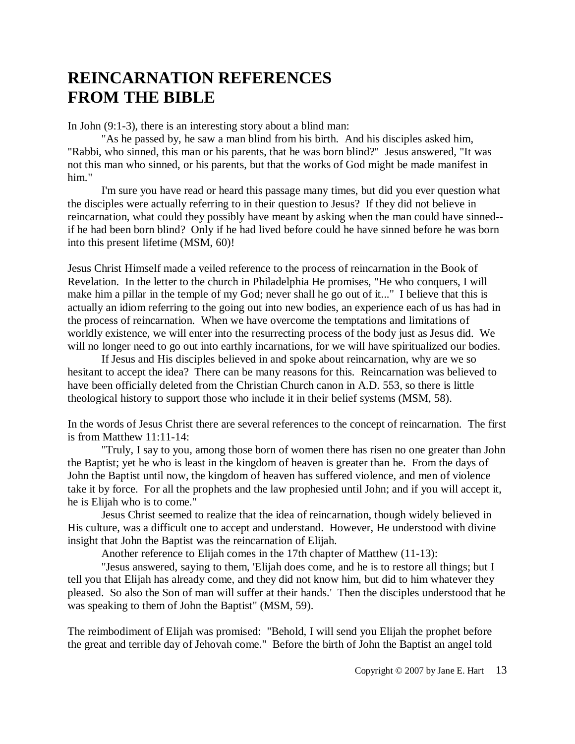#### **REINCARNATION REFERENCES FROM THE BIBLE**

In John (9:1-3), there is an interesting story about a blind man:

"As he passed by, he saw a man blind from his birth. And his disciples asked him, "Rabbi, who sinned, this man or his parents, that he was born blind?" Jesus answered, "It was not this man who sinned, or his parents, but that the works of God might be made manifest in him."

I'm sure you have read or heard this passage many times, but did you ever question what the disciples were actually referring to in their question to Jesus? If they did not believe in reincarnation, what could they possibly have meant by asking when the man could have sinned- if he had been born blind? Only if he had lived before could he have sinned before he was born into this present lifetime (MSM, 60)!

Jesus Christ Himself made a veiled reference to the process of reincarnation in the Book of Revelation. In the letter to the church in Philadelphia He promises, "He who conquers, I will make him a pillar in the temple of my God; never shall he go out of it..." I believe that this is actually an idiom referring to the going out into new bodies, an experience each of us has had in the process of reincarnation. When we have overcome the temptations and limitations of worldly existence, we will enter into the resurrecting process of the body just as Jesus did. We will no longer need to go out into earthly incarnations, for we will have spiritualized our bodies.

If Jesus and His disciples believed in and spoke about reincarnation, why are we so hesitant to accept the idea? There can be many reasons for this. Reincarnation was believed to have been officially deleted from the Christian Church canon in A.D. 553, so there is little theological history to support those who include it in their belief systems (MSM, 58).

In the words of Jesus Christ there are several references to the concept of reincarnation. The first is from Matthew 11:11-14:

"Truly, I say to you, among those born of women there has risen no one greater than John the Baptist; yet he who is least in the kingdom of heaven is greater than he. From the days of John the Baptist until now, the kingdom of heaven has suffered violence, and men of violence take it by force. For all the prophets and the law prophesied until John; and if you will accept it, he is Elijah who is to come."

Jesus Christ seemed to realize that the idea of reincarnation, though widely believed in His culture, was a difficult one to accept and understand. However, He understood with divine insight that John the Baptist was the reincarnation of Elijah.

Another reference to Elijah comes in the 17th chapter of Matthew (11-13):

"Jesus answered, saying to them, 'Elijah does come, and he is to restore all things; but I tell you that Elijah has already come, and they did not know him, but did to him whatever they pleased. So also the Son of man will suffer at their hands.' Then the disciples understood that he was speaking to them of John the Baptist" (MSM, 59).

The reimbodiment of Elijah was promised: "Behold, I will send you Elijah the prophet before the great and terrible day of Jehovah come." Before the birth of John the Baptist an angel told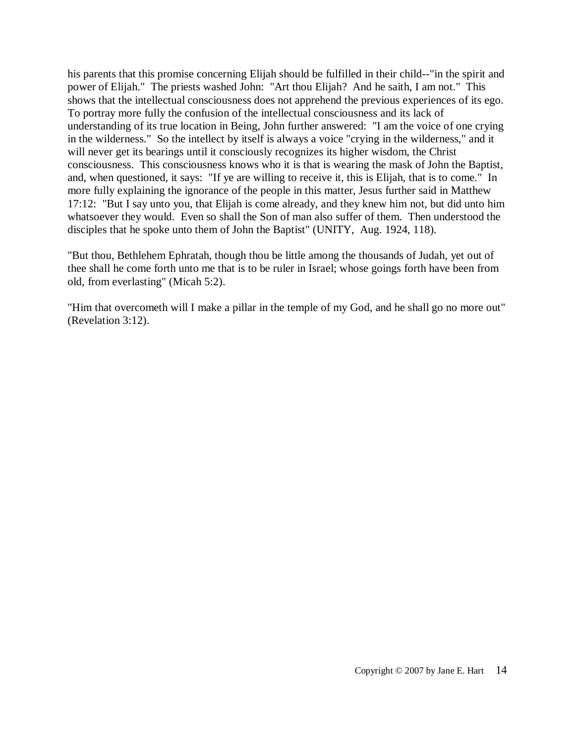his parents that this promise concerning Elijah should be fulfilled in their child--"in the spirit and power of Elijah." The priests washed John: "Art thou Elijah? And he saith, I am not." This shows that the intellectual consciousness does not apprehend the previous experiences of its ego. To portray more fully the confusion of the intellectual consciousness and its lack of understanding of its true location in Being, John further answered: "I am the voice of one crying in the wilderness." So the intellect by itself is always a voice "crying in the wilderness," and it will never get its bearings until it consciously recognizes its higher wisdom, the Christ consciousness. This consciousness knows who it is that is wearing the mask of John the Baptist, and, when questioned, it says: "If ye are willing to receive it, this is Elijah, that is to come." In more fully explaining the ignorance of the people in this matter, Jesus further said in Matthew 17:12: "But I say unto you, that Elijah is come already, and they knew him not, but did unto him whatsoever they would. Even so shall the Son of man also suffer of them. Then understood the disciples that he spoke unto them of John the Baptist" (UNITY, Aug. 1924, 118).

"But thou, Bethlehem Ephratah, though thou be little among the thousands of Judah, yet out of thee shall he come forth unto me that is to be ruler in Israel; whose goings forth have been from old, from everlasting" (Micah 5:2).

"Him that overcometh will I make a pillar in the temple of my God, and he shall go no more out" (Revelation 3:12).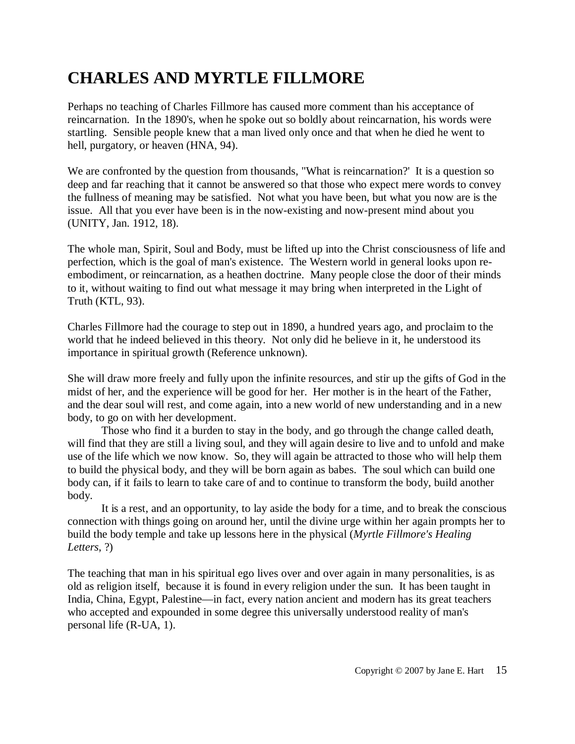### **CHARLES AND MYRTLE FILLMORE**

Perhaps no teaching of Charles Fillmore has caused more comment than his acceptance of reincarnation. In the 1890's, when he spoke out so boldly about reincarnation, his words were startling. Sensible people knew that a man lived only once and that when he died he went to hell, purgatory, or heaven (HNA, 94).

We are confronted by the question from thousands, "What is reincarnation?" It is a question so deep and far reaching that it cannot be answered so that those who expect mere words to convey the fullness of meaning may be satisfied. Not what you have been, but what you now are is the issue. All that you ever have been is in the now-existing and now-present mind about you (UNITY, Jan. 1912, 18).

The whole man, Spirit, Soul and Body, must be lifted up into the Christ consciousness of life and perfection, which is the goal of man's existence. The Western world in general looks upon reembodiment, or reincarnation, as a heathen doctrine. Many people close the door of their minds to it, without waiting to find out what message it may bring when interpreted in the Light of Truth (KTL, 93).

Charles Fillmore had the courage to step out in 1890, a hundred years ago, and proclaim to the world that he indeed believed in this theory. Not only did he believe in it, he understood its importance in spiritual growth (Reference unknown).

She will draw more freely and fully upon the infinite resources, and stir up the gifts of God in the midst of her, and the experience will be good for her. Her mother is in the heart of the Father, and the dear soul will rest, and come again, into a new world of new understanding and in a new body, to go on with her development.

Those who find it a burden to stay in the body, and go through the change called death, will find that they are still a living soul, and they will again desire to live and to unfold and make use of the life which we now know. So, they will again be attracted to those who will help them to build the physical body, and they will be born again as babes. The soul which can build one body can, if it fails to learn to take care of and to continue to transform the body, build another body.

It is a rest, and an opportunity, to lay aside the body for a time, and to break the conscious connection with things going on around her, until the divine urge within her again prompts her to build the body temple and take up lessons here in the physical (*Myrtle Fillmore's Healing Letters*, ?)

The teaching that man in his spiritual ego lives over and over again in many personalities, is as old as religion itself, because it is found in every religion under the sun. It has been taught in India, China, Egypt, Palestine—in fact, every nation ancient and modern has its great teachers who accepted and expounded in some degree this universally understood reality of man's personal life (R-UA, 1).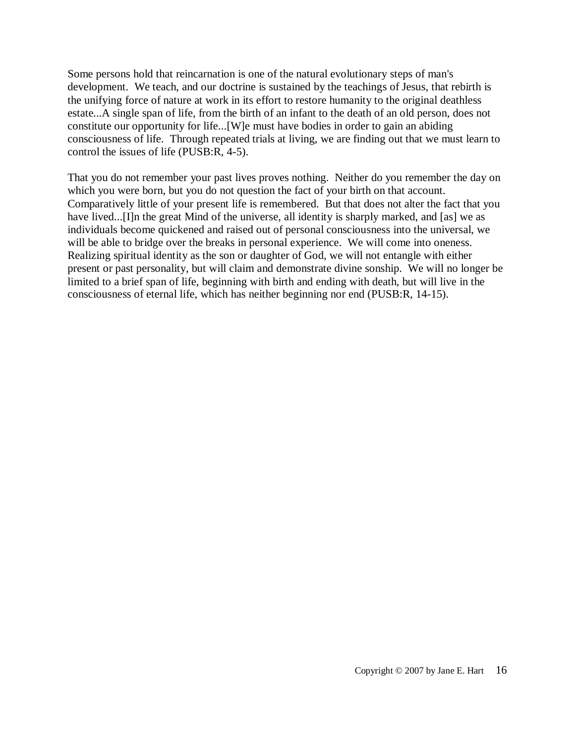Some persons hold that reincarnation is one of the natural evolutionary steps of man's development. We teach, and our doctrine is sustained by the teachings of Jesus, that rebirth is the unifying force of nature at work in its effort to restore humanity to the original deathless estate...A single span of life, from the birth of an infant to the death of an old person, does not constitute our opportunity for life...[W]e must have bodies in order to gain an abiding consciousness of life. Through repeated trials at living, we are finding out that we must learn to control the issues of life (PUSB:R, 4-5).

That you do not remember your past lives proves nothing. Neither do you remember the day on which you were born, but you do not question the fact of your birth on that account. Comparatively little of your present life is remembered. But that does not alter the fact that you have lived...[I]n the great Mind of the universe, all identity is sharply marked, and [as] we as individuals become quickened and raised out of personal consciousness into the universal, we will be able to bridge over the breaks in personal experience. We will come into oneness. Realizing spiritual identity as the son or daughter of God, we will not entangle with either present or past personality, but will claim and demonstrate divine sonship. We will no longer be limited to a brief span of life, beginning with birth and ending with death, but will live in the consciousness of eternal life, which has neither beginning nor end (PUSB:R, 14-15).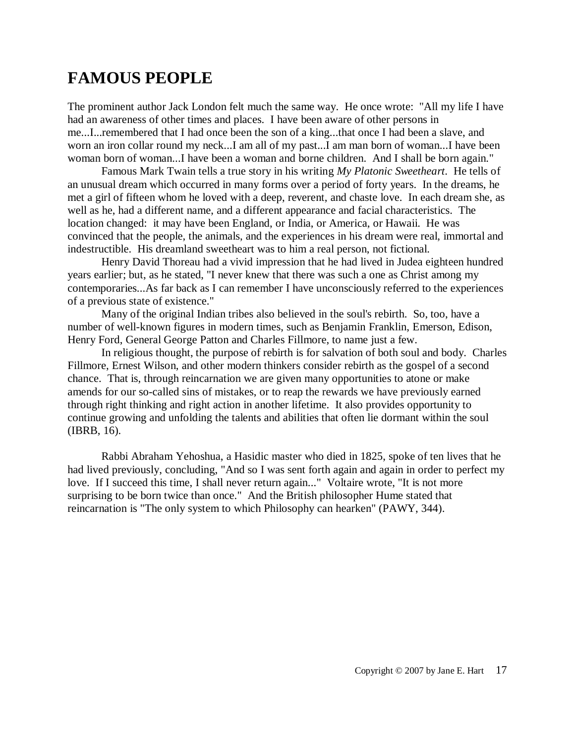#### **FAMOUS PEOPLE**

The prominent author Jack London felt much the same way. He once wrote: "All my life I have had an awareness of other times and places. I have been aware of other persons in me...I...remembered that I had once been the son of a king...that once I had been a slave, and worn an iron collar round my neck...I am all of my past...I am man born of woman...I have been woman born of woman...I have been a woman and borne children. And I shall be born again."

Famous Mark Twain tells a true story in his writing *My Platonic Sweetheart*. He tells of an unusual dream which occurred in many forms over a period of forty years. In the dreams, he met a girl of fifteen whom he loved with a deep, reverent, and chaste love. In each dream she, as well as he, had a different name, and a different appearance and facial characteristics. The location changed: it may have been England, or India, or America, or Hawaii. He was convinced that the people, the animals, and the experiences in his dream were real, immortal and indestructible. His dreamland sweetheart was to him a real person, not fictional.

Henry David Thoreau had a vivid impression that he had lived in Judea eighteen hundred years earlier; but, as he stated, "I never knew that there was such a one as Christ among my contemporaries...As far back as I can remember I have unconsciously referred to the experiences of a previous state of existence."

Many of the original Indian tribes also believed in the soul's rebirth. So, too, have a number of well-known figures in modern times, such as Benjamin Franklin, Emerson, Edison, Henry Ford, General George Patton and Charles Fillmore, to name just a few.

In religious thought, the purpose of rebirth is for salvation of both soul and body. Charles Fillmore, Ernest Wilson, and other modern thinkers consider rebirth as the gospel of a second chance. That is, through reincarnation we are given many opportunities to atone or make amends for our so-called sins of mistakes, or to reap the rewards we have previously earned through right thinking and right action in another lifetime. It also provides opportunity to continue growing and unfolding the talents and abilities that often lie dormant within the soul (IBRB, 16).

Rabbi Abraham Yehoshua, a Hasidic master who died in 1825, spoke of ten lives that he had lived previously, concluding, "And so I was sent forth again and again in order to perfect my love. If I succeed this time, I shall never return again..." Voltaire wrote, "It is not more surprising to be born twice than once." And the British philosopher Hume stated that reincarnation is "The only system to which Philosophy can hearken" (PAWY, 344).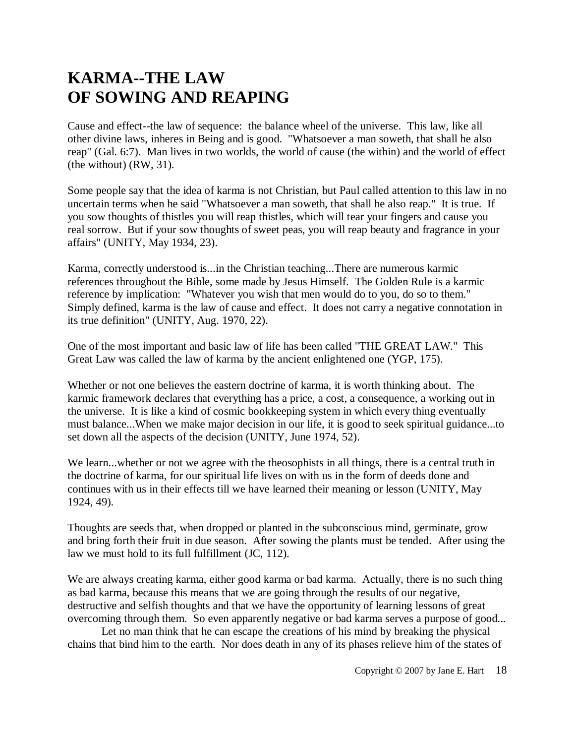### **KARMA--THE LAW OF SOWING AND REAPING**

Cause and effect--the law of sequence: the balance wheel of the universe. This law, like all other divine laws, inheres in Being and is good. "Whatsoever a man soweth, that shall he also reap" (Gal. 6:7). Man lives in two worlds, the world of cause (the within) and the world of effect (the without) (RW, 31).

Some people say that the idea of karma is not Christian, but Paul called attention to this law in no uncertain terms when he said "Whatsoever a man soweth, that shall he also reap." It is true. If you sow thoughts of thistles you will reap thistles, which will tear your fingers and cause you real sorrow. But if your sow thoughts of sweet peas, you will reap beauty and fragrance in your affairs" (UNITY, May 1934, 23).

Karma, correctly understood is...in the Christian teaching...There are numerous karmic references throughout the Bible, some made by Jesus Himself. The Golden Rule is a karmic reference by implication: "Whatever you wish that men would do to you, do so to them." Simply defined, karma is the law of cause and effect. It does not carry a negative connotation in its true definition" (UNITY, Aug. 1970, 22).

One of the most important and basic law of life has been called "THE GREAT LAW." This Great Law was called the law of karma by the ancient enlightened one (YGP, 175).

Whether or not one believes the eastern doctrine of karma, it is worth thinking about. The karmic framework declares that everything has a price, a cost, a consequence, a working out in the universe. It is like a kind of cosmic bookkeeping system in which every thing eventually must balance...When we make major decision in our life, it is good to seek spiritual guidance...to set down all the aspects of the decision (UNITY, June 1974, 52).

We learn...whether or not we agree with the theosophists in all things, there is a central truth in the doctrine of karma, for our spiritual life lives on with us in the form of deeds done and continues with us in their effects till we have learned their meaning or lesson (UNITY, May 1924, 49).

Thoughts are seeds that, when dropped or planted in the subconscious mind, germinate, grow and bring forth their fruit in due season. After sowing the plants must be tended. After using the law we must hold to its full fulfillment (JC, 112).

We are always creating karma, either good karma or bad karma. Actually, there is no such thing as bad karma, because this means that we are going through the results of our negative, destructive and selfish thoughts and that we have the opportunity of learning lessons of great overcoming through them. So even apparently negative or bad karma serves a purpose of good...

Let no man think that he can escape the creations of his mind by breaking the physical chains that bind him to the earth. Nor does death in any of its phases relieve him of the states of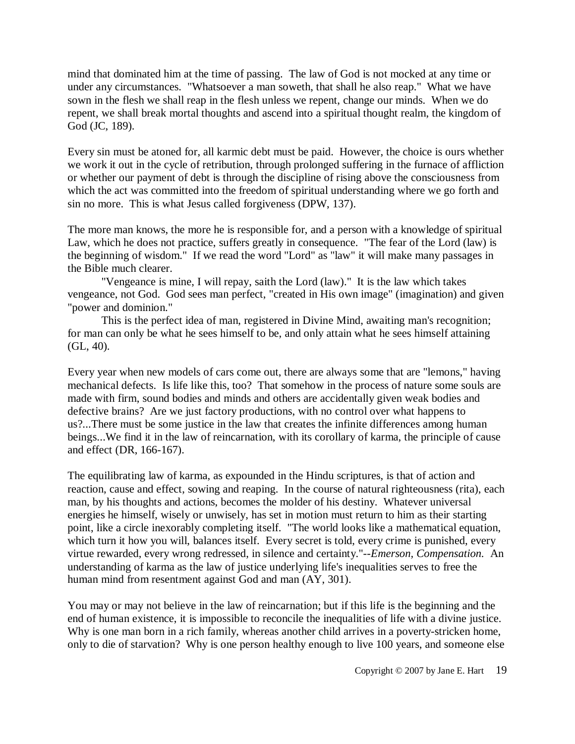mind that dominated him at the time of passing. The law of God is not mocked at any time or under any circumstances. "Whatsoever a man soweth, that shall he also reap." What we have sown in the flesh we shall reap in the flesh unless we repent, change our minds. When we do repent, we shall break mortal thoughts and ascend into a spiritual thought realm, the kingdom of God (JC, 189).

Every sin must be atoned for, all karmic debt must be paid. However, the choice is ours whether we work it out in the cycle of retribution, through prolonged suffering in the furnace of affliction or whether our payment of debt is through the discipline of rising above the consciousness from which the act was committed into the freedom of spiritual understanding where we go forth and sin no more. This is what Jesus called forgiveness (DPW, 137).

The more man knows, the more he is responsible for, and a person with a knowledge of spiritual Law, which he does not practice, suffers greatly in consequence. "The fear of the Lord (law) is the beginning of wisdom." If we read the word "Lord" as "law" it will make many passages in the Bible much clearer.

"Vengeance is mine, I will repay, saith the Lord (law)." It is the law which takes vengeance, not God. God sees man perfect, "created in His own image" (imagination) and given "power and dominion."

This is the perfect idea of man, registered in Divine Mind, awaiting man's recognition; for man can only be what he sees himself to be, and only attain what he sees himself attaining (GL, 40).

Every year when new models of cars come out, there are always some that are "lemons," having mechanical defects. Is life like this, too? That somehow in the process of nature some souls are made with firm, sound bodies and minds and others are accidentally given weak bodies and defective brains? Are we just factory productions, with no control over what happens to us?...There must be some justice in the law that creates the infinite differences among human beings...We find it in the law of reincarnation, with its corollary of karma, the principle of cause and effect (DR, 166-167).

The equilibrating law of karma, as expounded in the Hindu scriptures, is that of action and reaction, cause and effect, sowing and reaping. In the course of natural righteousness (rita), each man, by his thoughts and actions, becomes the molder of his destiny. Whatever universal energies he himself, wisely or unwisely, has set in motion must return to him as their starting point, like a circle inexorably completing itself. "The world looks like a mathematical equation, which turn it how you will, balances itself. Every secret is told, every crime is punished, every virtue rewarded, every wrong redressed, in silence and certainty."--*Emerson, Compensation.* An understanding of karma as the law of justice underlying life's inequalities serves to free the human mind from resentment against God and man (AY, 301).

You may or may not believe in the law of reincarnation; but if this life is the beginning and the end of human existence, it is impossible to reconcile the inequalities of life with a divine justice. Why is one man born in a rich family, whereas another child arrives in a poverty-stricken home, only to die of starvation? Why is one person healthy enough to live 100 years, and someone else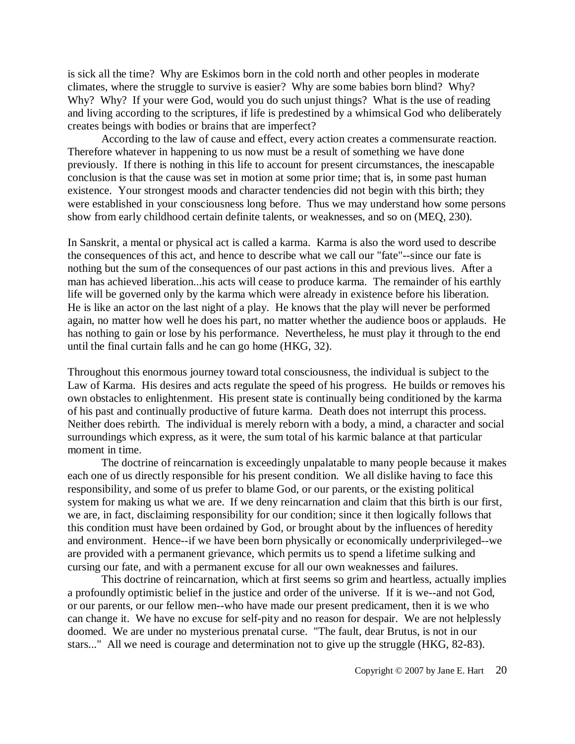is sick all the time? Why are Eskimos born in the cold north and other peoples in moderate climates, where the struggle to survive is easier? Why are some babies born blind? Why? Why? Why? If your were God, would you do such unjust things? What is the use of reading and living according to the scriptures, if life is predestined by a whimsical God who deliberately creates beings with bodies or brains that are imperfect?

According to the law of cause and effect, every action creates a commensurate reaction. Therefore whatever in happening to us now must be a result of something we have done previously. If there is nothing in this life to account for present circumstances, the inescapable conclusion is that the cause was set in motion at some prior time; that is, in some past human existence. Your strongest moods and character tendencies did not begin with this birth; they were established in your consciousness long before. Thus we may understand how some persons show from early childhood certain definite talents, or weaknesses, and so on (MEQ, 230).

In Sanskrit, a mental or physical act is called a karma. Karma is also the word used to describe the consequences of this act, and hence to describe what we call our "fate"--since our fate is nothing but the sum of the consequences of our past actions in this and previous lives. After a man has achieved liberation...his acts will cease to produce karma. The remainder of his earthly life will be governed only by the karma which were already in existence before his liberation. He is like an actor on the last night of a play. He knows that the play will never be performed again, no matter how well he does his part, no matter whether the audience boos or applauds. He has nothing to gain or lose by his performance. Nevertheless, he must play it through to the end until the final curtain falls and he can go home (HKG, 32).

Throughout this enormous journey toward total consciousness, the individual is subject to the Law of Karma. His desires and acts regulate the speed of his progress. He builds or removes his own obstacles to enlightenment. His present state is continually being conditioned by the karma of his past and continually productive of future karma. Death does not interrupt this process. Neither does rebirth. The individual is merely reborn with a body, a mind, a character and social surroundings which express, as it were, the sum total of his karmic balance at that particular moment in time.

The doctrine of reincarnation is exceedingly unpalatable to many people because it makes each one of us directly responsible for his present condition. We all dislike having to face this responsibility, and some of us prefer to blame God, or our parents, or the existing political system for making us what we are. If we deny reincarnation and claim that this birth is our first, we are, in fact, disclaiming responsibility for our condition; since it then logically follows that this condition must have been ordained by God, or brought about by the influences of heredity and environment. Hence--if we have been born physically or economically underprivileged--we are provided with a permanent grievance, which permits us to spend a lifetime sulking and cursing our fate, and with a permanent excuse for all our own weaknesses and failures.

This doctrine of reincarnation, which at first seems so grim and heartless, actually implies a profoundly optimistic belief in the justice and order of the universe. If it is we--and not God, or our parents, or our fellow men--who have made our present predicament, then it is we who can change it. We have no excuse for self-pity and no reason for despair. We are not helplessly doomed. We are under no mysterious prenatal curse. "The fault, dear Brutus, is not in our stars..." All we need is courage and determination not to give up the struggle (HKG, 82-83).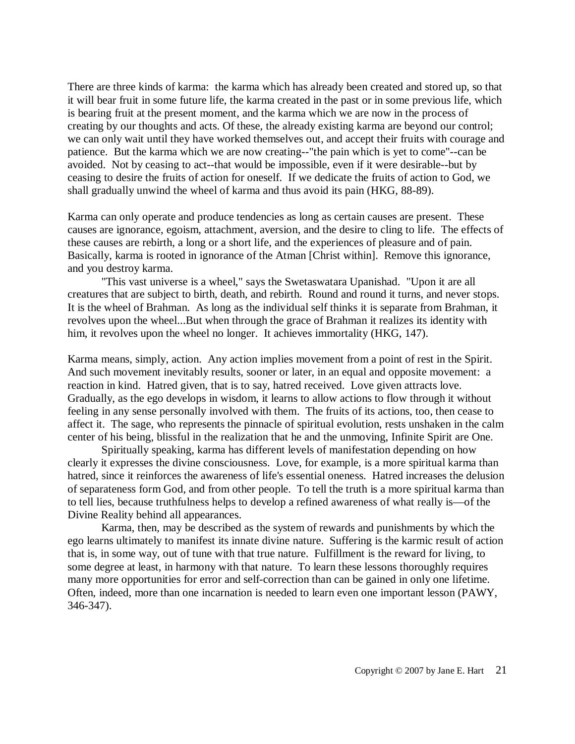There are three kinds of karma: the karma which has already been created and stored up, so that it will bear fruit in some future life, the karma created in the past or in some previous life, which is bearing fruit at the present moment, and the karma which we are now in the process of creating by our thoughts and acts. Of these, the already existing karma are beyond our control; we can only wait until they have worked themselves out, and accept their fruits with courage and patience. But the karma which we are now creating--"the pain which is yet to come"--can be avoided. Not by ceasing to act--that would be impossible, even if it were desirable--but by ceasing to desire the fruits of action for oneself. If we dedicate the fruits of action to God, we shall gradually unwind the wheel of karma and thus avoid its pain (HKG, 88-89).

Karma can only operate and produce tendencies as long as certain causes are present. These causes are ignorance, egoism, attachment, aversion, and the desire to cling to life. The effects of these causes are rebirth, a long or a short life, and the experiences of pleasure and of pain. Basically, karma is rooted in ignorance of the Atman [Christ within]. Remove this ignorance, and you destroy karma.

"This vast universe is a wheel," says the Swetaswatara Upanishad. "Upon it are all creatures that are subject to birth, death, and rebirth. Round and round it turns, and never stops. It is the wheel of Brahman. As long as the individual self thinks it is separate from Brahman, it revolves upon the wheel...But when through the grace of Brahman it realizes its identity with him, it revolves upon the wheel no longer. It achieves immortality (HKG, 147).

Karma means, simply, action. Any action implies movement from a point of rest in the Spirit. And such movement inevitably results, sooner or later, in an equal and opposite movement: a reaction in kind. Hatred given, that is to say, hatred received. Love given attracts love. Gradually, as the ego develops in wisdom, it learns to allow actions to flow through it without feeling in any sense personally involved with them. The fruits of its actions, too, then cease to affect it. The sage, who represents the pinnacle of spiritual evolution, rests unshaken in the calm center of his being, blissful in the realization that he and the unmoving, Infinite Spirit are One.

Spiritually speaking, karma has different levels of manifestation depending on how clearly it expresses the divine consciousness. Love, for example, is a more spiritual karma than hatred, since it reinforces the awareness of life's essential oneness. Hatred increases the delusion of separateness form God, and from other people. To tell the truth is a more spiritual karma than to tell lies, because truthfulness helps to develop a refined awareness of what really is—of the Divine Reality behind all appearances.

Karma, then, may be described as the system of rewards and punishments by which the ego learns ultimately to manifest its innate divine nature. Suffering is the karmic result of action that is, in some way, out of tune with that true nature. Fulfillment is the reward for living, to some degree at least, in harmony with that nature. To learn these lessons thoroughly requires many more opportunities for error and self-correction than can be gained in only one lifetime. Often, indeed, more than one incarnation is needed to learn even one important lesson (PAWY, 346-347).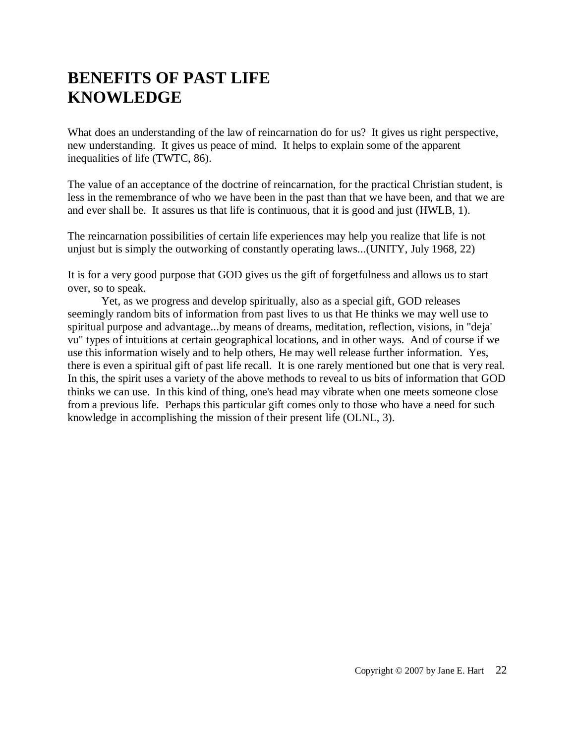### **BENEFITS OF PAST LIFE KNOWLEDGE**

What does an understanding of the law of reincarnation do for us? It gives us right perspective, new understanding. It gives us peace of mind. It helps to explain some of the apparent inequalities of life (TWTC, 86).

The value of an acceptance of the doctrine of reincarnation, for the practical Christian student, is less in the remembrance of who we have been in the past than that we have been, and that we are and ever shall be. It assures us that life is continuous, that it is good and just (HWLB, 1).

The reincarnation possibilities of certain life experiences may help you realize that life is not unjust but is simply the outworking of constantly operating laws...(UNITY, July 1968, 22)

It is for a very good purpose that GOD gives us the gift of forgetfulness and allows us to start over, so to speak.

Yet, as we progress and develop spiritually, also as a special gift, GOD releases seemingly random bits of information from past lives to us that He thinks we may well use to spiritual purpose and advantage...by means of dreams, meditation, reflection, visions, in "deja' vu" types of intuitions at certain geographical locations, and in other ways. And of course if we use this information wisely and to help others, He may well release further information. Yes, there is even a spiritual gift of past life recall. It is one rarely mentioned but one that is very real. In this, the spirit uses a variety of the above methods to reveal to us bits of information that GOD thinks we can use. In this kind of thing, one's head may vibrate when one meets someone close from a previous life. Perhaps this particular gift comes only to those who have a need for such knowledge in accomplishing the mission of their present life (OLNL, 3).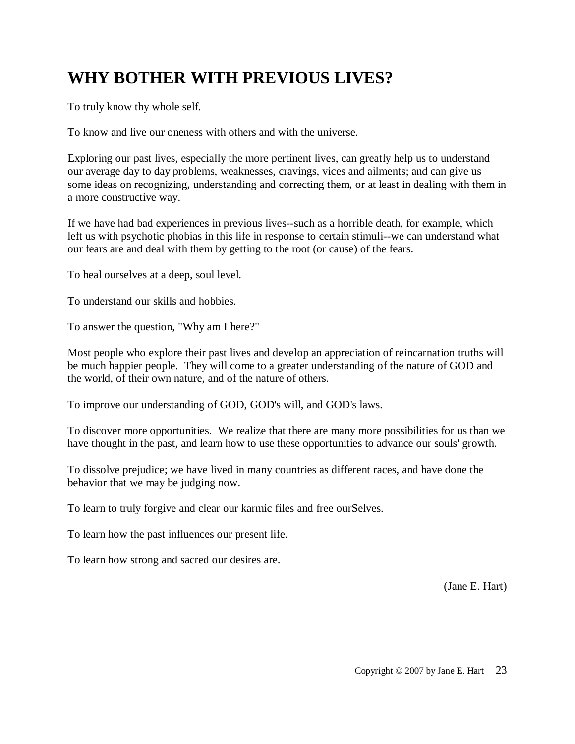# **WHY BOTHER WITH PREVIOUS LIVES?**

To truly know thy whole self.

To know and live our oneness with others and with the universe.

Exploring our past lives, especially the more pertinent lives, can greatly help us to understand our average day to day problems, weaknesses, cravings, vices and ailments; and can give us some ideas on recognizing, understanding and correcting them, or at least in dealing with them in a more constructive way.

If we have had bad experiences in previous lives--such as a horrible death, for example, which left us with psychotic phobias in this life in response to certain stimuli--we can understand what our fears are and deal with them by getting to the root (or cause) of the fears.

To heal ourselves at a deep, soul level.

To understand our skills and hobbies.

To answer the question, "Why am I here?"

Most people who explore their past lives and develop an appreciation of reincarnation truths will be much happier people. They will come to a greater understanding of the nature of GOD and the world, of their own nature, and of the nature of others.

To improve our understanding of GOD, GOD's will, and GOD's laws.

To discover more opportunities. We realize that there are many more possibilities for us than we have thought in the past, and learn how to use these opportunities to advance our souls' growth.

To dissolve prejudice; we have lived in many countries as different races, and have done the behavior that we may be judging now.

To learn to truly forgive and clear our karmic files and free ourSelves.

To learn how the past influences our present life.

To learn how strong and sacred our desires are.

(Jane E. Hart)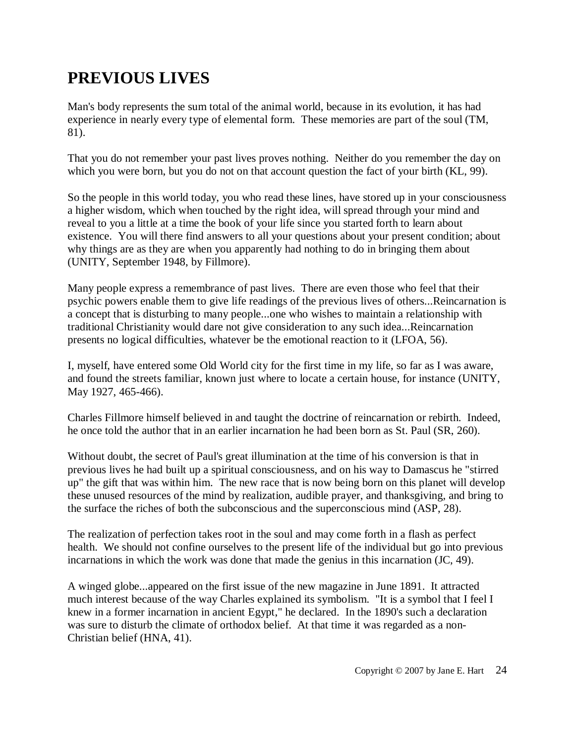# **PREVIOUS LIVES**

Man's body represents the sum total of the animal world, because in its evolution, it has had experience in nearly every type of elemental form. These memories are part of the soul (TM, 81).

That you do not remember your past lives proves nothing. Neither do you remember the day on which you were born, but you do not on that account question the fact of your birth (KL, 99).

So the people in this world today, you who read these lines, have stored up in your consciousness a higher wisdom, which when touched by the right idea, will spread through your mind and reveal to you a little at a time the book of your life since you started forth to learn about existence. You will there find answers to all your questions about your present condition; about why things are as they are when you apparently had nothing to do in bringing them about (UNITY, September 1948, by Fillmore).

Many people express a remembrance of past lives. There are even those who feel that their psychic powers enable them to give life readings of the previous lives of others...Reincarnation is a concept that is disturbing to many people...one who wishes to maintain a relationship with traditional Christianity would dare not give consideration to any such idea...Reincarnation presents no logical difficulties, whatever be the emotional reaction to it (LFOA, 56).

I, myself, have entered some Old World city for the first time in my life, so far as I was aware, and found the streets familiar, known just where to locate a certain house, for instance (UNITY, May 1927, 465-466).

Charles Fillmore himself believed in and taught the doctrine of reincarnation or rebirth. Indeed, he once told the author that in an earlier incarnation he had been born as St. Paul (SR, 260).

Without doubt, the secret of Paul's great illumination at the time of his conversion is that in previous lives he had built up a spiritual consciousness, and on his way to Damascus he "stirred up" the gift that was within him. The new race that is now being born on this planet will develop these unused resources of the mind by realization, audible prayer, and thanksgiving, and bring to the surface the riches of both the subconscious and the superconscious mind (ASP, 28).

The realization of perfection takes root in the soul and may come forth in a flash as perfect health. We should not confine ourselves to the present life of the individual but go into previous incarnations in which the work was done that made the genius in this incarnation (JC, 49).

A winged globe...appeared on the first issue of the new magazine in June 1891. It attracted much interest because of the way Charles explained its symbolism. "It is a symbol that I feel I knew in a former incarnation in ancient Egypt," he declared. In the 1890's such a declaration was sure to disturb the climate of orthodox belief. At that time it was regarded as a non-Christian belief (HNA, 41).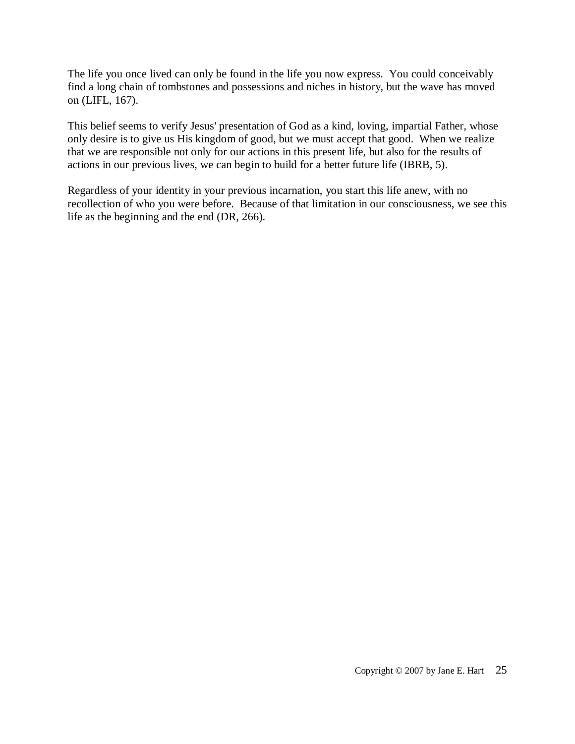The life you once lived can only be found in the life you now express. You could conceivably find a long chain of tombstones and possessions and niches in history, but the wave has moved on (LIFL, 167).

This belief seems to verify Jesus' presentation of God as a kind, loving, impartial Father, whose only desire is to give us His kingdom of good, but we must accept that good. When we realize that we are responsible not only for our actions in this present life, but also for the results of actions in our previous lives, we can begin to build for a better future life (IBRB, 5).

Regardless of your identity in your previous incarnation, you start this life anew, with no recollection of who you were before. Because of that limitation in our consciousness, we see this life as the beginning and the end (DR, 266).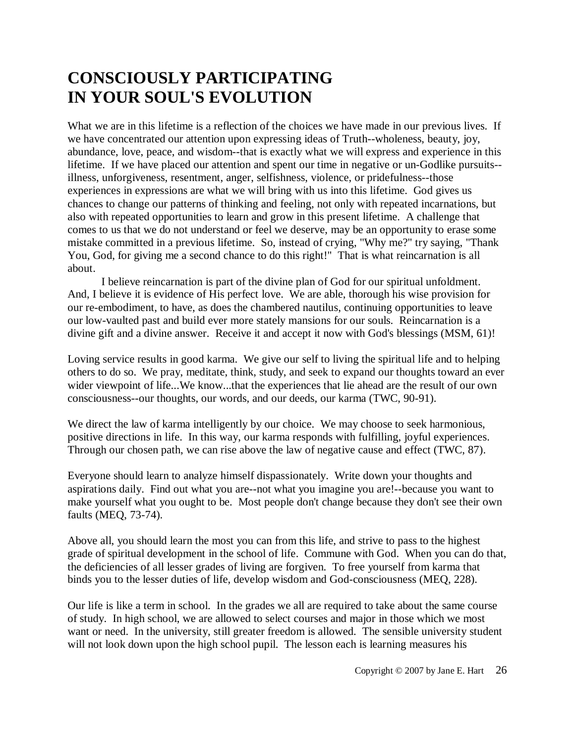### **CONSCIOUSLY PARTICIPATING IN YOUR SOUL'S EVOLUTION**

What we are in this lifetime is a reflection of the choices we have made in our previous lives. If we have concentrated our attention upon expressing ideas of Truth--wholeness, beauty, joy, abundance, love, peace, and wisdom--that is exactly what we will express and experience in this lifetime. If we have placed our attention and spent our time in negative or un-Godlike pursuits- illness, unforgiveness, resentment, anger, selfishness, violence, or pridefulness--those experiences in expressions are what we will bring with us into this lifetime. God gives us chances to change our patterns of thinking and feeling, not only with repeated incarnations, but also with repeated opportunities to learn and grow in this present lifetime. A challenge that comes to us that we do not understand or feel we deserve, may be an opportunity to erase some mistake committed in a previous lifetime. So, instead of crying, "Why me?" try saying, "Thank You, God, for giving me a second chance to do this right!" That is what reincarnation is all about.

I believe reincarnation is part of the divine plan of God for our spiritual unfoldment. And, I believe it is evidence of His perfect love. We are able, thorough his wise provision for our re-embodiment, to have, as does the chambered nautilus, continuing opportunities to leave our low-vaulted past and build ever more stately mansions for our souls. Reincarnation is a divine gift and a divine answer. Receive it and accept it now with God's blessings (MSM, 61)!

Loving service results in good karma. We give our self to living the spiritual life and to helping others to do so. We pray, meditate, think, study, and seek to expand our thoughts toward an ever wider viewpoint of life...We know...that the experiences that lie ahead are the result of our own consciousness--our thoughts, our words, and our deeds, our karma (TWC, 90-91).

We direct the law of karma intelligently by our choice. We may choose to seek harmonious, positive directions in life. In this way, our karma responds with fulfilling, joyful experiences. Through our chosen path, we can rise above the law of negative cause and effect (TWC, 87).

Everyone should learn to analyze himself dispassionately. Write down your thoughts and aspirations daily. Find out what you are--not what you imagine you are!--because you want to make yourself what you ought to be. Most people don't change because they don't see their own faults (MEQ, 73-74).

Above all, you should learn the most you can from this life, and strive to pass to the highest grade of spiritual development in the school of life. Commune with God. When you can do that, the deficiencies of all lesser grades of living are forgiven. To free yourself from karma that binds you to the lesser duties of life, develop wisdom and God-consciousness (MEQ, 228).

Our life is like a term in school. In the grades we all are required to take about the same course of study. In high school, we are allowed to select courses and major in those which we most want or need. In the university, still greater freedom is allowed. The sensible university student will not look down upon the high school pupil. The lesson each is learning measures his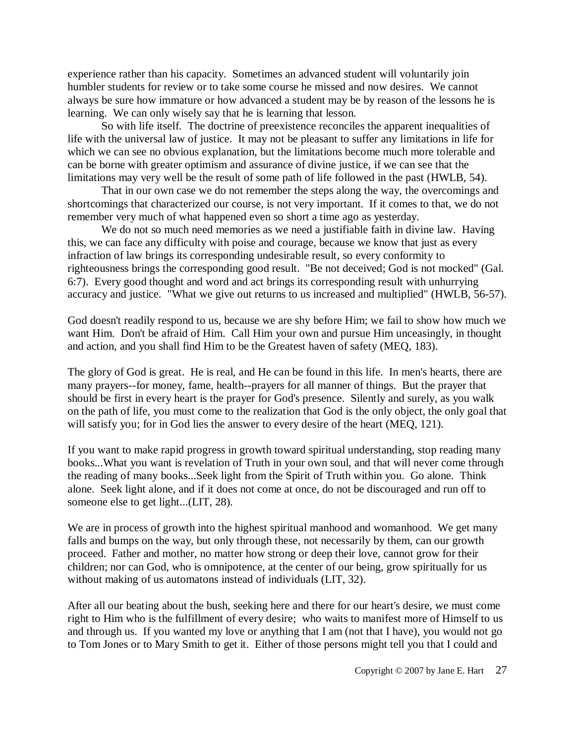experience rather than his capacity. Sometimes an advanced student will voluntarily join humbler students for review or to take some course he missed and now desires. We cannot always be sure how immature or how advanced a student may be by reason of the lessons he is learning. We can only wisely say that he is learning that lesson.

So with life itself. The doctrine of preexistence reconciles the apparent inequalities of life with the universal law of justice. It may not be pleasant to suffer any limitations in life for which we can see no obvious explanation, but the limitations become much more tolerable and can be borne with greater optimism and assurance of divine justice, if we can see that the limitations may very well be the result of some path of life followed in the past (HWLB, 54).

That in our own case we do not remember the steps along the way, the overcomings and shortcomings that characterized our course, is not very important. If it comes to that, we do not remember very much of what happened even so short a time ago as yesterday.

We do not so much need memories as we need a justifiable faith in divine law. Having this, we can face any difficulty with poise and courage, because we know that just as every infraction of law brings its corresponding undesirable result, so every conformity to righteousness brings the corresponding good result. "Be not deceived; God is not mocked" (Gal. 6:7). Every good thought and word and act brings its corresponding result with unhurrying accuracy and justice. "What we give out returns to us increased and multiplied" (HWLB, 56-57).

God doesn't readily respond to us, because we are shy before Him; we fail to show how much we want Him. Don't be afraid of Him. Call Him your own and pursue Him unceasingly, in thought and action, and you shall find Him to be the Greatest haven of safety (MEQ, 183).

The glory of God is great. He is real, and He can be found in this life. In men's hearts, there are many prayers--for money, fame, health--prayers for all manner of things. But the prayer that should be first in every heart is the prayer for God's presence. Silently and surely, as you walk on the path of life, you must come to the realization that God is the only object, the only goal that will satisfy you; for in God lies the answer to every desire of the heart (MEQ, 121).

If you want to make rapid progress in growth toward spiritual understanding, stop reading many books...What you want is revelation of Truth in your own soul, and that will never come through the reading of many books...Seek light from the Spirit of Truth within you. Go alone. Think alone. Seek light alone, and if it does not come at once, do not be discouraged and run off to someone else to get light...(LIT, 28).

We are in process of growth into the highest spiritual manhood and womanhood. We get many falls and bumps on the way, but only through these, not necessarily by them, can our growth proceed. Father and mother, no matter how strong or deep their love, cannot grow for their children; nor can God, who is omnipotence, at the center of our being, grow spiritually for us without making of us automatons instead of individuals (LIT, 32).

After all our beating about the bush, seeking here and there for our heart's desire, we must come right to Him who is the fulfillment of every desire; who waits to manifest more of Himself to us and through us. If you wanted my love or anything that I am (not that I have), you would not go to Tom Jones or to Mary Smith to get it. Either of those persons might tell you that I could and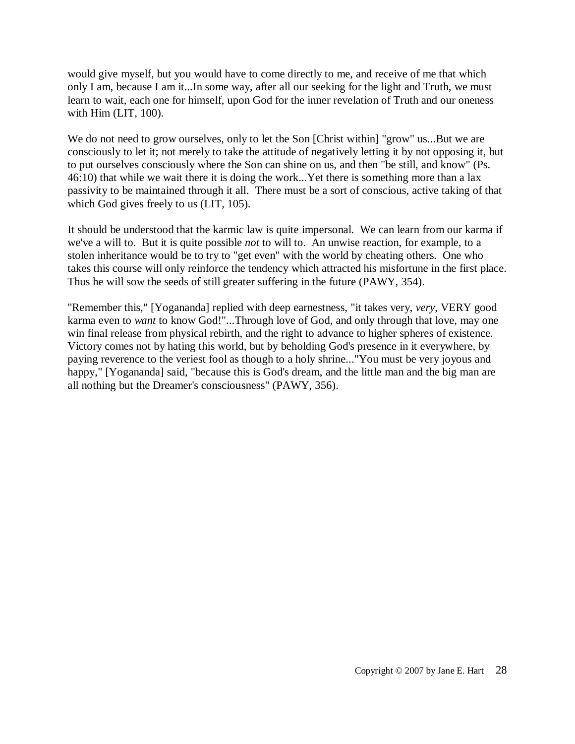would give myself, but you would have to come directly to me, and receive of me that which only I am, because I am it...In some way, after all our seeking for the light and Truth, we must learn to wait, each one for himself, upon God for the inner revelation of Truth and our oneness with Him (LIT, 100).

We do not need to grow ourselves, only to let the Son [Christ within] "grow" us...But we are consciously to let it; not merely to take the attitude of negatively letting it by not opposing it, but to put ourselves consciously where the Son can shine on us, and then "be still, and know" (Ps. 46:10) that while we wait there it is doing the work...Yet there is something more than a lax passivity to be maintained through it all. There must be a sort of conscious, active taking of that which God gives freely to us (LIT, 105).

It should be understood that the karmic law is quite impersonal. We can learn from our karma if we've a will to. But it is quite possible *not* to will to. An unwise reaction, for example, to a stolen inheritance would be to try to "get even" with the world by cheating others. One who takes this course will only reinforce the tendency which attracted his misfortune in the first place. Thus he will sow the seeds of still greater suffering in the future (PAWY, 354).

"Remember this," [Yogananda] replied with deep earnestness, "it takes very, *very*, VERY good karma even to *want* to know God!"...Through love of God, and only through that love, may one win final release from physical rebirth, and the right to advance to higher spheres of existence. Victory comes not by hating this world, but by beholding God's presence in it everywhere, by paying reverence to the veriest fool as though to a holy shrine..."You must be very joyous and happy," [Yogananda] said, "because this is God's dream, and the little man and the big man are all nothing but the Dreamer's consciousness" (PAWY, 356).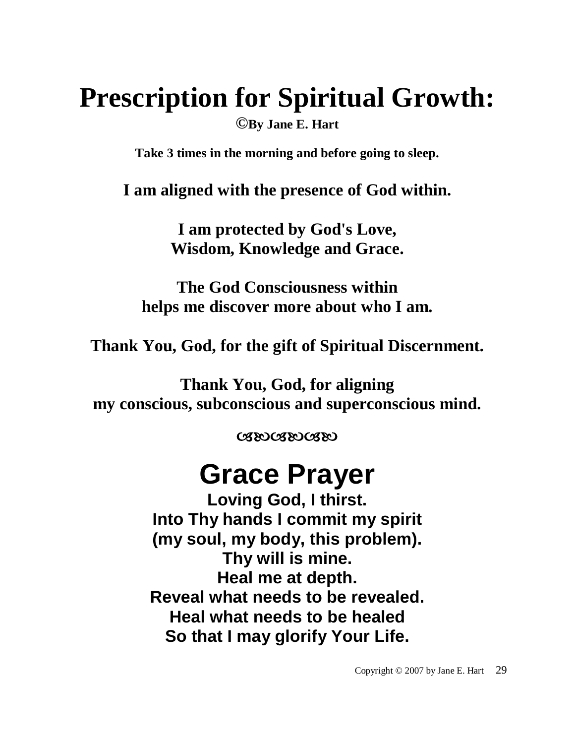# **Prescription for Spiritual Growth:**

**©By Jane E. Hart**

**Take 3 times in the morning and before going to sleep.**

**I am aligned with the presence of God within.**

**I am protected by God's Love, Wisdom, Knowledge and Grace.**

**The God Consciousness within helps me discover more about who I am.**

**Thank You, God, for the gift of Spiritual Discernment.**

**Thank You, God, for aligning my conscious, subconscious and superconscious mind.**

038003800380

# **Grace Prayer**

**Loving God, I thirst. Into Thy hands I commit my spirit (my soul, my body, this problem). Thy will is mine. Heal me at depth. Reveal what needs to be revealed. Heal what needs to be healed So that I may glorify Your Life.**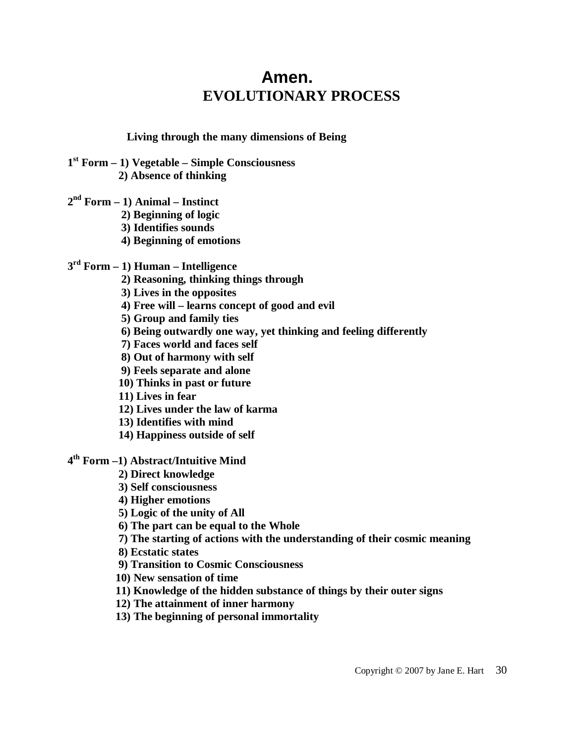#### **Amen. EVOLUTIONARY PROCESS**

**Living through the many dimensions of Being**

- **1 st Form – 1) Vegetable – Simple Consciousness 2) Absence of thinking**
- **2 nd Form – 1) Animal – Instinct**
	- **2) Beginning of logic**
	- **3) Identifies sounds**
	- **4) Beginning of emotions**

**3 rd Form – 1) Human – Intelligence**

**2) Reasoning, thinking things through**

**3) Lives in the opposites**

- **4) Free will – learns concept of good and evil**
- **5) Group and family ties**
- **6) Being outwardly one way, yet thinking and feeling differently**
- **7) Faces world and faces self**
- **8) Out of harmony with self**
- **9) Feels separate and alone**
- **10) Thinks in past or future**
- **11) Lives in fear**
- **12) Lives under the law of karma**
- **13) Identifies with mind**
- **14) Happiness outside of self**
- **4 th Form –1) Abstract/Intuitive Mind**
	- **2) Direct knowledge**
	- **3) Self consciousness**
	- **4) Higher emotions**
	- **5) Logic of the unity of All**
	- **6) The part can be equal to the Whole**
	- **7) The starting of actions with the understanding of their cosmic meaning**

**8) Ecstatic states**

- **9) Transition to Cosmic Consciousness**
- **10) New sensation of time**
- **11) Knowledge of the hidden substance of things by their outer signs**
- **12) The attainment of inner harmony**
- **13) The beginning of personal immortality**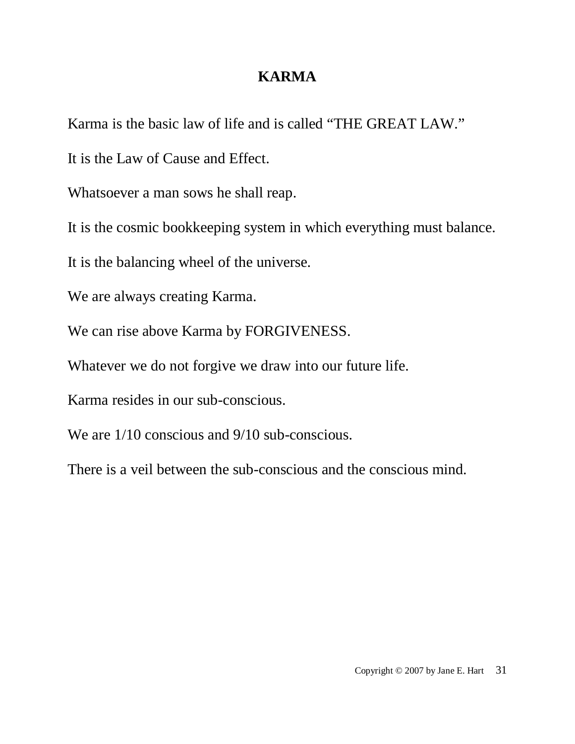#### **KARMA**

Karma is the basic law of life and is called "THE GREAT LAW."

It is the Law of Cause and Effect.

Whatsoever a man sows he shall reap.

It is the cosmic bookkeeping system in which everything must balance.

It is the balancing wheel of the universe.

We are always creating Karma.

We can rise above Karma by FORGIVENESS.

Whatever we do not forgive we draw into our future life.

Karma resides in our sub-conscious.

We are  $1/10$  conscious and  $9/10$  sub-conscious.

There is a veil between the sub-conscious and the conscious mind.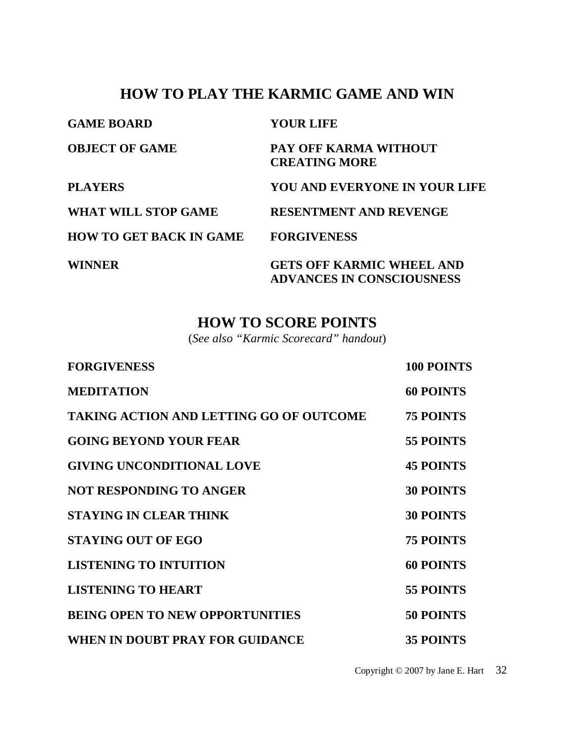#### **HOW TO PLAY THE KARMIC GAME AND WIN**

| <b>GAME BOARD</b>              | <b>YOUR LIFE</b>                              |
|--------------------------------|-----------------------------------------------|
| <b>OBJECT OF GAME</b>          | PAY OFF KARMA WITHOUT<br><b>CREATING MORE</b> |
| <b>PLAYERS</b>                 | <b>YOU AND EVERYONE IN YOUR LIFE</b>          |
| <b>WHAT WILL STOP GAME</b>     | <b>RESENTMENT AND REVENGE</b>                 |
| <b>HOW TO GET BACK IN GAME</b> | <b>FORGIVENESS</b>                            |
| <b>WINNER</b>                  | <b>GETS OFF KARMIC WHEEL AND</b>              |
|                                | <b>ADVANCES IN CONSCIOUSNESS</b>              |

#### **HOW TO SCORE POINTS**

(*See also "Karmic Scorecard" handout*)

| <b>FORGIVENESS</b>                             | 100 POINTS       |
|------------------------------------------------|------------------|
| <b>MEDITATION</b>                              | <b>60 POINTS</b> |
| <b>TAKING ACTION AND LETTING GO OF OUTCOME</b> | <b>75 POINTS</b> |
| <b>GOING BEYOND YOUR FEAR</b>                  | 55 POINTS        |
| <b>GIVING UNCONDITIONAL LOVE</b>               | <b>45 POINTS</b> |
| <b>NOT RESPONDING TO ANGER</b>                 | <b>30 POINTS</b> |
| <b>STAYING IN CLEAR THINK</b>                  | <b>30 POINTS</b> |
| <b>STAYING OUT OF EGO</b>                      | <b>75 POINTS</b> |
| <b>LISTENING TO INTUITION</b>                  | <b>60 POINTS</b> |
| <b>LISTENING TO HEART</b>                      | <b>55 POINTS</b> |
| <b>BEING OPEN TO NEW OPPORTUNITIES</b>         | 50 POINTS        |
| WHEN IN DOUBT PRAY FOR GUIDANCE                | <b>35 POINTS</b> |

Copyright © 2007 by Jane E. Hart 32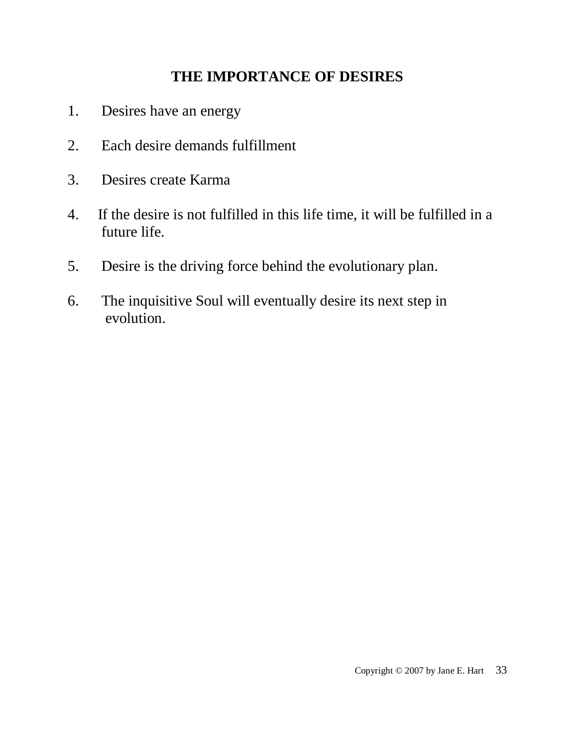#### **THE IMPORTANCE OF DESIRES**

- 1. Desires have an energy
- 2. Each desire demands fulfillment
- 3. Desires create Karma
- 4. If the desire is not fulfilled in this life time, it will be fulfilled in a future life.
- 5. Desire is the driving force behind the evolutionary plan.
- 6. The inquisitive Soul will eventually desire its next step in evolution.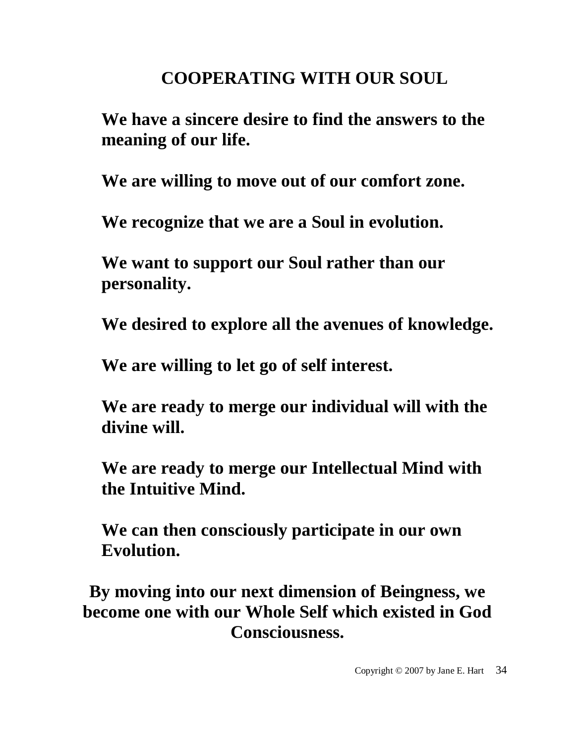# **COOPERATING WITH OUR SOUL**

**We have a sincere desire to find the answers to the meaning of our life.**

**We are willing to move out of our comfort zone.**

**We recognize that we are a Soul in evolution.**

**We want to support our Soul rather than our personality.**

**We desired to explore all the avenues of knowledge.**

**We are willing to let go of self interest.**

**We are ready to merge our individual will with the divine will.**

**We are ready to merge our Intellectual Mind with the Intuitive Mind.**

**We can then consciously participate in our own Evolution.**

**By moving into our next dimension of Beingness, we become one with our Whole Self which existed in God Consciousness.**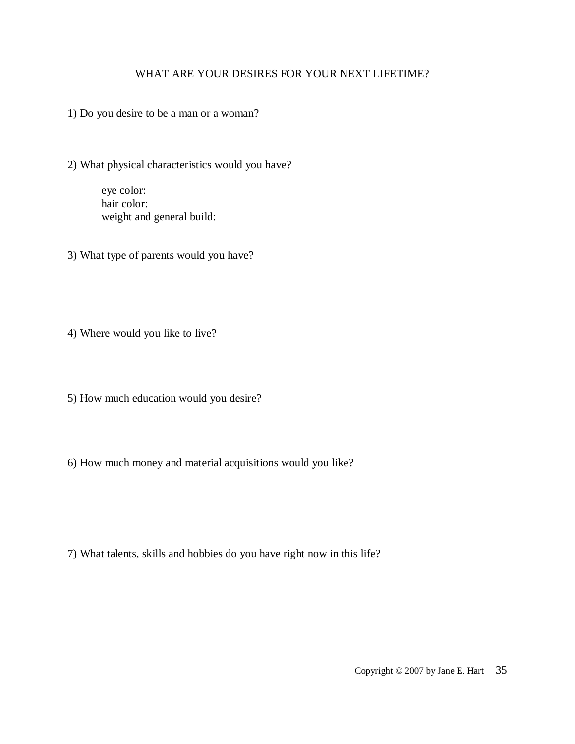#### WHAT ARE YOUR DESIRES FOR YOUR NEXT LIFETIME?

1) Do you desire to be a man or a woman?

2) What physical characteristics would you have?

eye color: hair color: weight and general build:

3) What type of parents would you have?

4) Where would you like to live?

5) How much education would you desire?

6) How much money and material acquisitions would you like?

7) What talents, skills and hobbies do you have right now in this life?

Copyright © 2007 by Jane E. Hart 35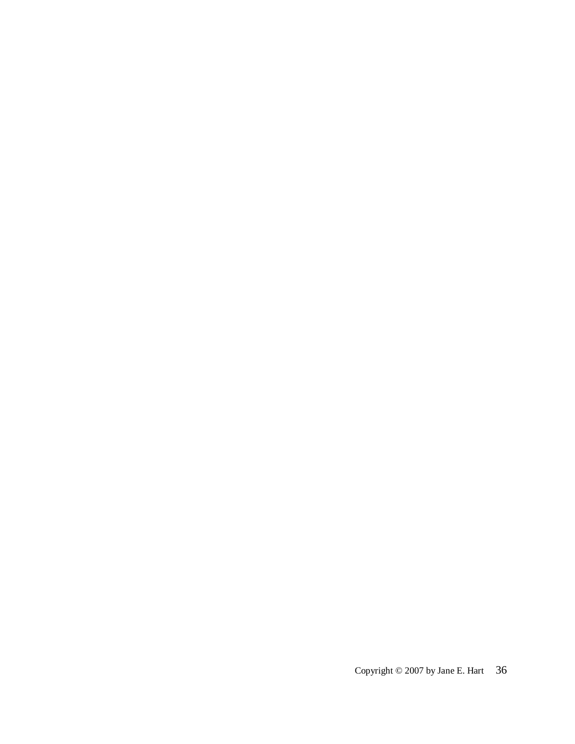Copyright © 2007 by Jane E. Hart 36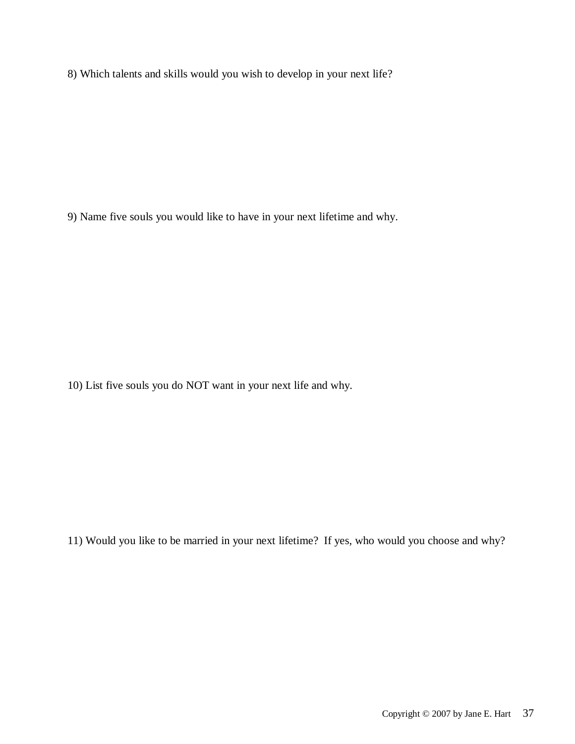8) Which talents and skills would you wish to develop in your next life?

9) Name five souls you would like to have in your next lifetime and why.

10) List five souls you do NOT want in your next life and why.

11) Would you like to be married in your next lifetime? If yes, who would you choose and why?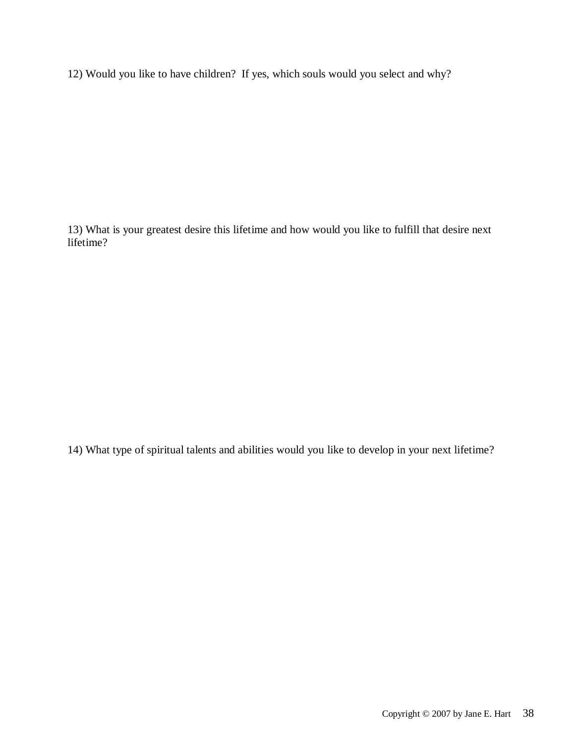12) Would you like to have children? If yes, which souls would you select and why?

13) What is your greatest desire this lifetime and how would you like to fulfill that desire next lifetime?

14) What type of spiritual talents and abilities would you like to develop in your next lifetime?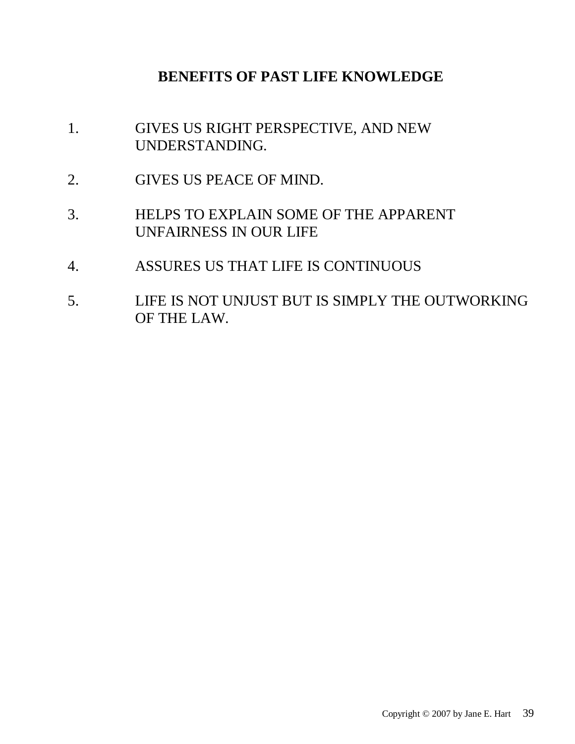#### **BENEFITS OF PAST LIFE KNOWLEDGE**

- 1. GIVES US RIGHT PERSPECTIVE, AND NEW UNDERSTANDING.
- 2. GIVES US PEACE OF MIND.
- 3. HELPS TO EXPLAIN SOME OF THE APPARENT UNFAIRNESS IN OUR LIFE
- 4. ASSURES US THAT LIFE IS CONTINUOUS
- 5. LIFE IS NOT UNJUST BUT IS SIMPLY THE OUTWORKING OF THE LAW.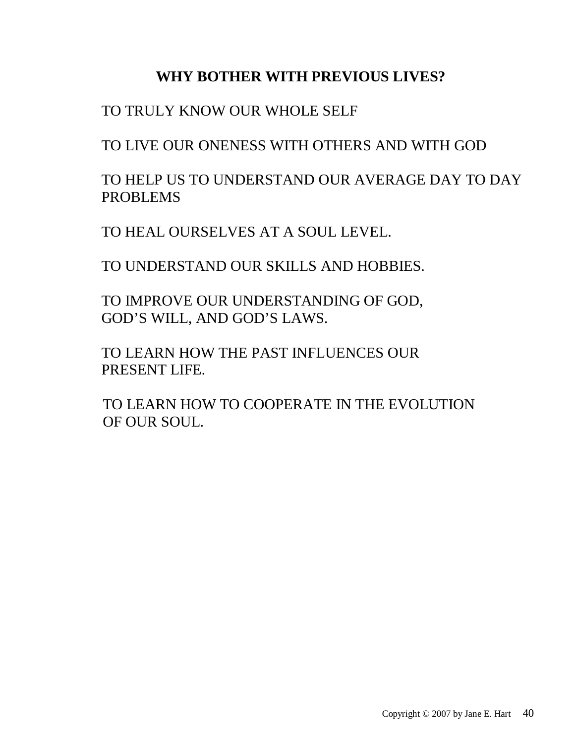#### **WHY BOTHER WITH PREVIOUS LIVES?**

TO TRULY KNOW OUR WHOLE SELF

TO LIVE OUR ONENESS WITH OTHERS AND WITH GOD

TO HELP US TO UNDERSTAND OUR AVERAGE DAY TO DAY PROBLEMS

TO HEAL OURSELVES AT A SOUL LEVEL.

TO UNDERSTAND OUR SKILLS AND HOBBIES.

TO IMPROVE OUR UNDERSTANDING OF GOD, GOD'S WILL, AND GOD'S LAWS.

TO LEARN HOW THE PAST INFLUENCES OUR PRESENT LIFE.

TO LEARN HOW TO COOPERATE IN THE EVOLUTION OF OUR SOUL.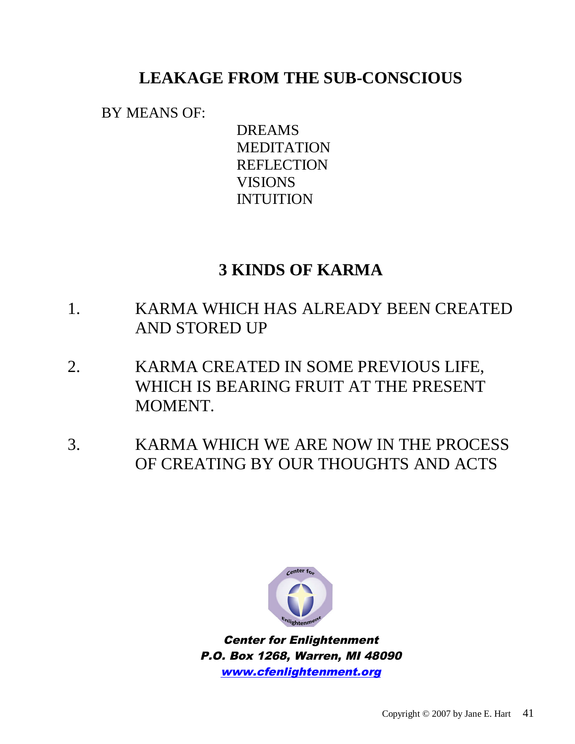### **LEAKAGE FROM THE SUB-CONSCIOUS**

BY MEANS OF:

DREAMS MEDITATION **REFLECTION** VISIONS INTUITION

#### **3 KINDS OF KARMA**

- 1. KARMA WHICH HAS ALREADY BEEN CREATED AND STORED UP
- 2. KARMA CREATED IN SOME PREVIOUS LIFE, WHICH IS BEARING FRUIT AT THE PRESENT MOMENT.
- 3. KARMA WHICH WE ARE NOW IN THE PROCESS OF CREATING BY OUR THOUGHTS AND ACTS



Center for Enlightenment P.O. Box 1268, Warren, MI 48090 www.cfenlightenment.org